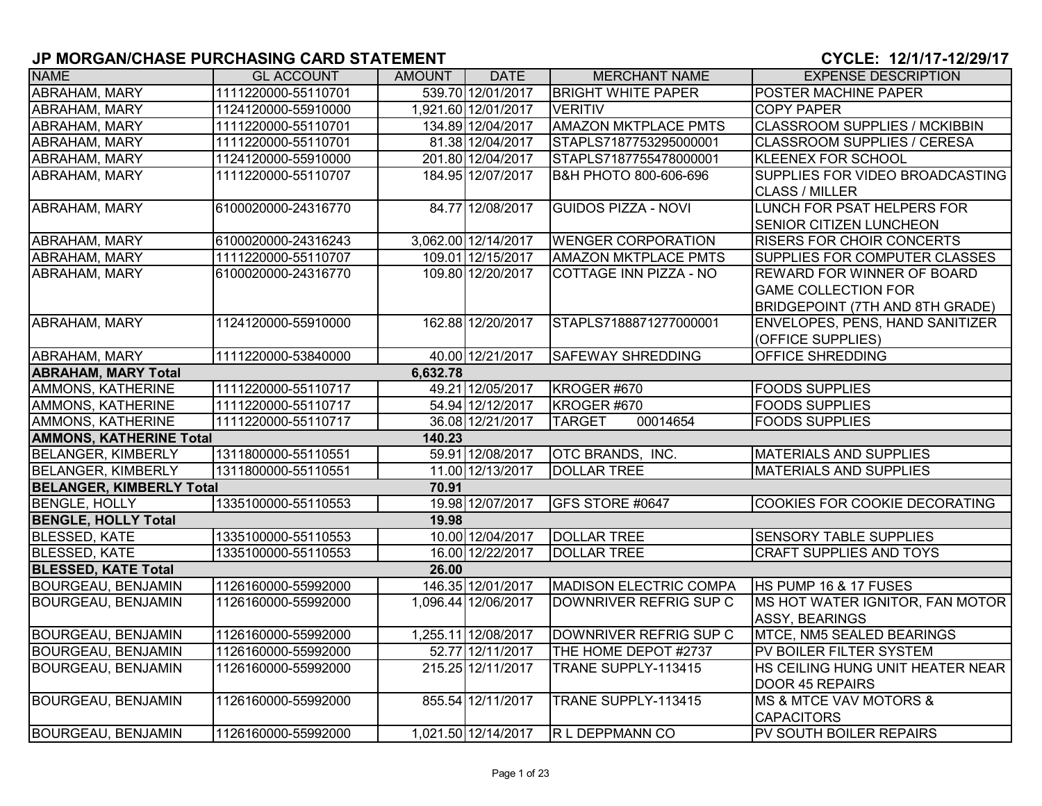| <b>NAME</b>                     | <b>GL ACCOUNT</b>   | AMOUNT   | <b>DATE</b>         | <b>MERCHANT NAME</b>          | <b>EXPENSE DESCRIPTION</b>                        |
|---------------------------------|---------------------|----------|---------------------|-------------------------------|---------------------------------------------------|
| <b>ABRAHAM, MARY</b>            | 1111220000-55110701 |          | 539.70 12/01/2017   | <b>BRIGHT WHITE PAPER</b>     | POSTER MACHINE PAPER                              |
| ABRAHAM, MARY                   | 1124120000-55910000 |          | 1,921.60 12/01/2017 | <b>VERITIV</b>                | <b>COPY PAPER</b>                                 |
| <b>ABRAHAM, MARY</b>            | 1111220000-55110701 |          | 134.89 12/04/2017   | <b>AMAZON MKTPLACE PMTS</b>   | <b>CLASSROOM SUPPLIES / MCKIBBIN</b>              |
| ABRAHAM, MARY                   | 1111220000-55110701 |          | 81.38 12/04/2017    | STAPLS7187753295000001        | CLASSROOM SUPPLIES / CERESA                       |
| ABRAHAM, MARY                   | 1124120000-55910000 |          | 201.80 12/04/2017   | STAPLS7187755478000001        | KLEENEX FOR SCHOOL                                |
| <b>ABRAHAM, MARY</b>            | 1111220000-55110707 |          | 184.95 12/07/2017   | B&H PHOTO 800-606-696         | SUPPLIES FOR VIDEO BROADCASTING                   |
|                                 |                     |          |                     |                               | <b>CLASS / MILLER</b>                             |
| <b>ABRAHAM, MARY</b>            | 6100020000-24316770 |          | 84.77 12/08/2017    | <b>GUIDOS PIZZA - NOVI</b>    | <b>LUNCH FOR PSAT HELPERS FOR</b>                 |
|                                 |                     |          |                     |                               | <b>SENIOR CITIZEN LUNCHEON</b>                    |
| ABRAHAM, MARY                   | 6100020000-24316243 |          | 3,062.00 12/14/2017 | <b>WENGER CORPORATION</b>     | <b>RISERS FOR CHOIR CONCERTS</b>                  |
| ABRAHAM, MARY                   | 1111220000-55110707 |          | 109.01 12/15/2017   | <b>AMAZON MKTPLACE PMTS</b>   | SUPPLIES FOR COMPUTER CLASSES                     |
| ABRAHAM, MARY                   | 6100020000-24316770 |          | 109.80 12/20/2017   | <b>COTTAGE INN PIZZA - NO</b> | <b>REWARD FOR WINNER OF BOARD</b>                 |
|                                 |                     |          |                     |                               | <b>GAME COLLECTION FOR</b>                        |
|                                 |                     |          |                     |                               | <b>BRIDGEPOINT (7TH AND 8TH GRADE)</b>            |
| <b>ABRAHAM, MARY</b>            | 1124120000-55910000 |          | 162.88 12/20/2017   | STAPLS7188871277000001        | ENVELOPES, PENS, HAND SANITIZER                   |
|                                 |                     |          |                     |                               | (OFFICE SUPPLIES)                                 |
| ABRAHAM, MARY                   | 1111220000-53840000 |          | 40.00 12/21/2017    | <b>SAFEWAY SHREDDING</b>      | OFFICE SHREDDING                                  |
| <b>ABRAHAM, MARY Total</b>      |                     | 6,632.78 |                     |                               |                                                   |
| AMMONS, KATHERINE               | 1111220000-55110717 |          | 49.21 12/05/2017    | KROGER #670                   | <b>FOODS SUPPLIES</b>                             |
| AMMONS, KATHERINE               | 1111220000-55110717 |          | 54.94 12/12/2017    | KROGER #670                   | <b>FOODS SUPPLIES</b>                             |
| AMMONS, KATHERINE               | 1111220000-55110717 |          | 36.08 12/21/2017    | 00014654<br><b>TARGET</b>     | <b>FOODS SUPPLIES</b>                             |
| <b>AMMONS, KATHERINE Total</b>  |                     | 140.23   |                     |                               |                                                   |
| <b>BELANGER, KIMBERLY</b>       | 1311800000-55110551 |          | 59.91 12/08/2017    | <b>OTC BRANDS, INC.</b>       | <b>MATERIALS AND SUPPLIES</b>                     |
| <b>BELANGER, KIMBERLY</b>       | 1311800000-55110551 |          | 11.00 12/13/2017    | <b>DOLLAR TREE</b>            | <b>MATERIALS AND SUPPLIES</b>                     |
| <b>BELANGER, KIMBERLY Total</b> |                     | 70.91    |                     |                               |                                                   |
| <b>BENGLE, HOLLY</b>            | 1335100000-55110553 |          | 19.98 12/07/2017    | GFS STORE #0647               | <b>COOKIES FOR COOKIE DECORATING</b>              |
| <b>BENGLE, HOLLY Total</b>      |                     | 19.98    |                     |                               |                                                   |
| <b>BLESSED, KATE</b>            | 1335100000-55110553 |          | 10.00 12/04/2017    | <b>DOLLAR TREE</b>            | <b>SENSORY TABLE SUPPLIES</b>                     |
| <b>BLESSED, KATE</b>            | 1335100000-55110553 |          | 16.00 12/22/2017    | <b>DOLLAR TREE</b>            | <b>CRAFT SUPPLIES AND TOYS</b>                    |
| <b>BLESSED, KATE Total</b>      |                     | 26.00    |                     |                               |                                                   |
| <b>BOURGEAU, BENJAMIN</b>       | 1126160000-55992000 |          | 146.35 12/01/2017   | <b>MADISON ELECTRIC COMPA</b> | HS PUMP 16 & 17 FUSES                             |
| <b>BOURGEAU, BENJAMIN</b>       | 1126160000-55992000 |          | 1,096.44 12/06/2017 | DOWNRIVER REFRIG SUP C        | MS HOT WATER IGNITOR, FAN MOTOR<br>ASSY, BEARINGS |
| <b>BOURGEAU, BENJAMIN</b>       | 1126160000-55992000 |          | 1,255.11 12/08/2017 | DOWNRIVER REFRIG SUP C        | <b>MTCE, NM5 SEALED BEARINGS</b>                  |
| <b>BOURGEAU, BENJAMIN</b>       | 1126160000-55992000 |          | 52.77 12/11/2017    | THE HOME DEPOT #2737          | PV BOILER FILTER SYSTEM                           |
| <b>BOURGEAU, BENJAMIN</b>       | 1126160000-55992000 |          | 215.25 12/11/2017   | TRANE SUPPLY-113415           | HS CEILING HUNG UNIT HEATER NEAR                  |
|                                 |                     |          |                     |                               | DOOR 45 REPAIRS                                   |
| <b>BOURGEAU, BENJAMIN</b>       | 1126160000-55992000 |          | 855.54 12/11/2017   | TRANE SUPPLY-113415           | <b>IMS &amp; MTCE VAV MOTORS &amp;</b>            |
|                                 |                     |          |                     |                               | <b>CAPACITORS</b>                                 |
| <b>BOURGEAU, BENJAMIN</b>       | 1126160000-55992000 |          | 1,021.50 12/14/2017 | <b>R L DEPPMANN CO</b>        | <b>PV SOUTH BOILER REPAIRS</b>                    |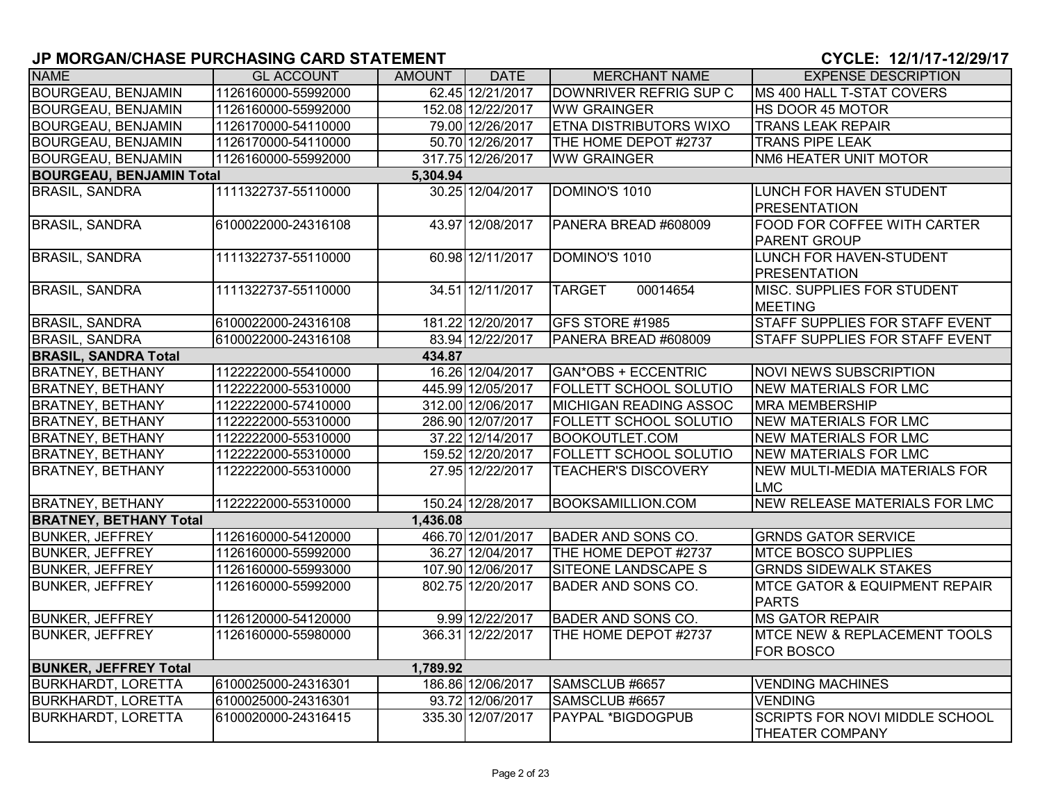| <b>NAME</b>                     | <b>GL ACCOUNT</b>   | AMOUNT   | <b>DATE</b>       | <b>MERCHANT NAME</b>          | <b>EXPENSE DESCRIPTION</b>                                      |
|---------------------------------|---------------------|----------|-------------------|-------------------------------|-----------------------------------------------------------------|
| <b>BOURGEAU, BENJAMIN</b>       | 1126160000-55992000 |          | 62.45 12/21/2017  | DOWNRIVER REFRIG SUP C        | MS 400 HALL T-STAT COVERS                                       |
| <b>BOURGEAU, BENJAMIN</b>       | 1126160000-55992000 |          | 152.08 12/22/2017 | <b>WW GRAINGER</b>            | HS DOOR 45 MOTOR                                                |
| <b>BOURGEAU, BENJAMIN</b>       | 1126170000-54110000 |          | 79.00 12/26/2017  | <b>ETNA DISTRIBUTORS WIXO</b> | <b>TRANS LEAK REPAIR</b>                                        |
| <b>BOURGEAU, BENJAMIN</b>       | 1126170000-54110000 |          | 50.70 12/26/2017  | THE HOME DEPOT #2737          | <b>TRANS PIPE LEAK</b>                                          |
| <b>BOURGEAU, BENJAMIN</b>       | 1126160000-55992000 |          | 317.75 12/26/2017 | <b>WW GRAINGER</b>            | NM6 HEATER UNIT MOTOR                                           |
| <b>BOURGEAU, BENJAMIN Total</b> |                     | 5,304.94 |                   |                               |                                                                 |
| <b>BRASIL, SANDRA</b>           | 1111322737-55110000 |          | 30.25 12/04/2017  | DOMINO'S 1010                 | LUNCH FOR HAVEN STUDENT<br><b>PRESENTATION</b>                  |
| <b>BRASIL, SANDRA</b>           | 6100022000-24316108 |          | 43.97 12/08/2017  | PANERA BREAD #608009          | <b>FOOD FOR COFFEE WITH CARTER</b><br>PARENT GROUP              |
| <b>BRASIL, SANDRA</b>           | 1111322737-55110000 |          | 60.98 12/11/2017  | DOMINO'S 1010                 | LUNCH FOR HAVEN-STUDENT<br><b>PRESENTATION</b>                  |
| <b>BRASIL, SANDRA</b>           | 1111322737-55110000 |          | 34.51 12/11/2017  | 00014654<br><b>TARGET</b>     | MISC. SUPPLIES FOR STUDENT<br><b>MEETING</b>                    |
| <b>BRASIL, SANDRA</b>           | 6100022000-24316108 |          | 181.22 12/20/2017 | GFS STORE #1985               | <b>STAFF SUPPLIES FOR STAFF EVENT</b>                           |
| <b>BRASIL, SANDRA</b>           | 6100022000-24316108 |          | 83.94 12/22/2017  | PANERA BREAD #608009          | <b>STAFF SUPPLIES FOR STAFF EVENT</b>                           |
| <b>BRASIL, SANDRA Total</b>     |                     | 434.87   |                   |                               |                                                                 |
| <b>BRATNEY, BETHANY</b>         | 1122222000-55410000 |          | 16.26 12/04/2017  | <b>GAN*OBS + ECCENTRIC</b>    | <b>NOVI NEWS SUBSCRIPTION</b>                                   |
| <b>BRATNEY, BETHANY</b>         | 1122222000-55310000 |          | 445.99 12/05/2017 | <b>FOLLETT SCHOOL SOLUTIO</b> | <b>NEW MATERIALS FOR LMC</b>                                    |
| <b>BRATNEY, BETHANY</b>         | 1122222000-57410000 |          | 312.00 12/06/2017 | <b>MICHIGAN READING ASSOC</b> | <b>MRA MEMBERSHIP</b>                                           |
| <b>BRATNEY, BETHANY</b>         | 1122222000-55310000 |          | 286.90 12/07/2017 | <b>FOLLETT SCHOOL SOLUTIO</b> | <b>NEW MATERIALS FOR LMC</b>                                    |
| <b>BRATNEY, BETHANY</b>         | 1122222000-55310000 |          | 37.22 12/14/2017  | <b>BOOKOUTLET.COM</b>         | <b>NEW MATERIALS FOR LMC</b>                                    |
| <b>BRATNEY, BETHANY</b>         | 1122222000-55310000 |          | 159.52 12/20/2017 | <b>FOLLETT SCHOOL SOLUTIO</b> | <b>NEW MATERIALS FOR LMC</b>                                    |
| <b>BRATNEY, BETHANY</b>         | 1122222000-55310000 |          | 27.95 12/22/2017  | <b>TEACHER'S DISCOVERY</b>    | <b>NEW MULTI-MEDIA MATERIALS FOR</b><br>LMC                     |
| <b>BRATNEY, BETHANY</b>         | 1122222000-55310000 |          | 150.24 12/28/2017 | <b>BOOKSAMILLION.COM</b>      | <b>NEW RELEASE MATERIALS FOR LMC</b>                            |
| <b>BRATNEY, BETHANY Total</b>   |                     | 1,436.08 |                   |                               |                                                                 |
| <b>BUNKER, JEFFREY</b>          | 1126160000-54120000 |          | 466.70 12/01/2017 | <b>BADER AND SONS CO.</b>     | <b>GRNDS GATOR SERVICE</b>                                      |
| <b>BUNKER, JEFFREY</b>          | 1126160000-55992000 |          | 36.27 12/04/2017  | THE HOME DEPOT #2737          | <b>MTCE BOSCO SUPPLIES</b>                                      |
| <b>BUNKER, JEFFREY</b>          | 1126160000-55993000 |          | 107.90 12/06/2017 | <b>SITEONE LANDSCAPE S</b>    | <b>GRNDS SIDEWALK STAKES</b>                                    |
| <b>BUNKER, JEFFREY</b>          | 1126160000-55992000 |          | 802.75 12/20/2017 | <b>BADER AND SONS CO.</b>     | <b>MTCE GATOR &amp; EQUIPMENT REPAIR</b><br><b>PARTS</b>        |
| <b>BUNKER, JEFFREY</b>          | 1126120000-54120000 |          | 9.99 12/22/2017   | <b>BADER AND SONS CO.</b>     | <b>MS GATOR REPAIR</b>                                          |
| <b>BUNKER, JEFFREY</b>          | 1126160000-55980000 |          | 366.31 12/22/2017 | THE HOME DEPOT #2737          | <b>MTCE NEW &amp; REPLACEMENT TOOLS</b><br><b>FOR BOSCO</b>     |
| <b>BUNKER, JEFFREY Total</b>    |                     | 1,789.92 |                   |                               |                                                                 |
| <b>BURKHARDT, LORETTA</b>       | 6100025000-24316301 |          | 186.86 12/06/2017 | SAMSCLUB #6657                | <b>VENDING MACHINES</b>                                         |
| <b>BURKHARDT, LORETTA</b>       | 6100025000-24316301 |          | 93.72 12/06/2017  | SAMSCLUB #6657                | <b>VENDING</b>                                                  |
| <b>BURKHARDT, LORETTA</b>       | 6100020000-24316415 |          | 335.30 12/07/2017 | PAYPAL *BIGDOGPUB             | <b>SCRIPTS FOR NOVI MIDDLE SCHOOL</b><br><b>THEATER COMPANY</b> |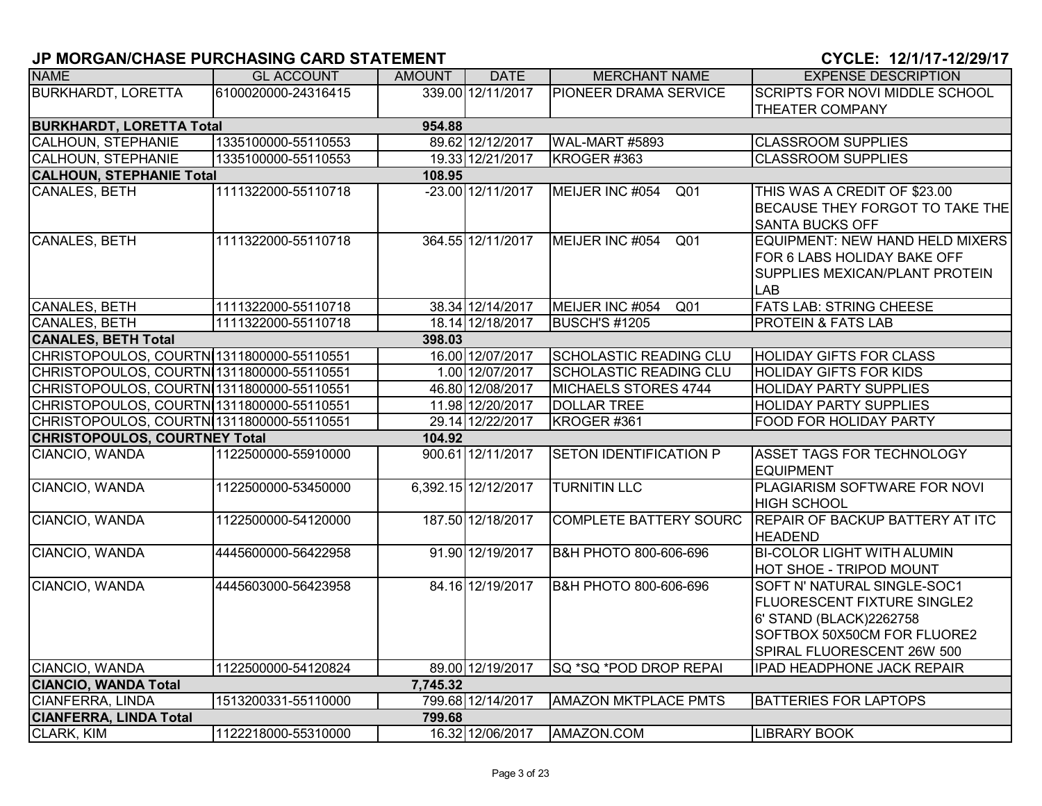| <b>NAME</b>                               | <b>GL ACCOUNT</b>   | <b>AMOUNT</b> | <b>DATE</b>         | <b>MERCHANT NAME</b>               | <b>EXPENSE DESCRIPTION</b>                                                                                                                                |
|-------------------------------------------|---------------------|---------------|---------------------|------------------------------------|-----------------------------------------------------------------------------------------------------------------------------------------------------------|
| <b>BURKHARDT, LORETTA</b>                 | 6100020000-24316415 |               | 339.00 12/11/2017   | <b>PIONEER DRAMA SERVICE</b>       | <b>SCRIPTS FOR NOVI MIDDLE SCHOOL</b>                                                                                                                     |
|                                           |                     |               |                     |                                    | <b>THEATER COMPANY</b>                                                                                                                                    |
| <b>BURKHARDT, LORETTA Total</b>           |                     | 954.88        |                     |                                    |                                                                                                                                                           |
| <b>CALHOUN, STEPHANIE</b>                 | 1335100000-55110553 |               | 89.62 12/12/2017    | <b>WAL-MART #5893</b>              | <b>CLASSROOM SUPPLIES</b>                                                                                                                                 |
| <b>CALHOUN, STEPHANIE</b>                 | 1335100000-55110553 |               | 19.33 12/21/2017    | KROGER #363                        | <b>CLASSROOM SUPPLIES</b>                                                                                                                                 |
| <b>CALHOUN, STEPHANIE Total</b>           |                     | 108.95        |                     |                                    |                                                                                                                                                           |
| <b>CANALES, BETH</b>                      | 1111322000-55110718 |               | -23.00 12/11/2017   | MEIJER INC #054<br>Q <sub>01</sub> | THIS WAS A CREDIT OF \$23.00<br>BECAUSE THEY FORGOT TO TAKE THE<br><b>SANTA BUCKS OFF</b>                                                                 |
| CANALES, BETH                             | 1111322000-55110718 |               | 364.55 12/11/2017   | MEIJER INC #054<br>Q01             | EQUIPMENT: NEW HAND HELD MIXERS<br>FOR 6 LABS HOLIDAY BAKE OFF<br>SUPPLIES MEXICAN/PLANT PROTEIN<br>LAB                                                   |
| CANALES, BETH                             | 1111322000-55110718 |               | 38.34 12/14/2017    | MEIJER INC #054<br>Q <sub>01</sub> | <b>FATS LAB: STRING CHEESE</b>                                                                                                                            |
| CANALES, BETH                             | 1111322000-55110718 |               | 18.14 12/18/2017    | <b>BUSCH'S #1205</b>               | <b>PROTEIN &amp; FATS LAB</b>                                                                                                                             |
| <b>CANALES, BETH Total</b>                |                     | 398.03        |                     |                                    |                                                                                                                                                           |
| CHRISTOPOULOS, COURTN 1311800000-55110551 |                     |               | 16.00 12/07/2017    | SCHOLASTIC READING CLU             | <b>HOLIDAY GIFTS FOR CLASS</b>                                                                                                                            |
| CHRISTOPOULOS, COURTN 1311800000-55110551 |                     |               | 1.00 12/07/2017     | <b>SCHOLASTIC READING CLU</b>      | <b>HOLIDAY GIFTS FOR KIDS</b>                                                                                                                             |
| CHRISTOPOULOS, COURTN 1311800000-55110551 |                     |               | 46.80 12/08/2017    | MICHAELS STORES 4744               | <b>HOLIDAY PARTY SUPPLIES</b>                                                                                                                             |
| CHRISTOPOULOS, COURTN 1311800000-55110551 |                     |               | 11.98 12/20/2017    | <b>DOLLAR TREE</b>                 | <b>HOLIDAY PARTY SUPPLIES</b>                                                                                                                             |
| CHRISTOPOULOS, COURTN 1311800000-55110551 |                     |               | 29.14 12/22/2017    | KROGER #361                        | FOOD FOR HOLIDAY PARTY                                                                                                                                    |
| <b>CHRISTOPOULOS, COURTNEY Total</b>      |                     | 104.92        |                     |                                    |                                                                                                                                                           |
| CIANCIO, WANDA                            | 1122500000-55910000 |               | 900.61 12/11/2017   | <b>SETON IDENTIFICATION P</b>      | ASSET TAGS FOR TECHNOLOGY<br><b>EQUIPMENT</b>                                                                                                             |
| CIANCIO, WANDA                            | 1122500000-53450000 |               | 6,392.15 12/12/2017 | <b>TURNITIN LLC</b>                | PLAGIARISM SOFTWARE FOR NOVI<br><b>HIGH SCHOOL</b>                                                                                                        |
| CIANCIO, WANDA                            | 1122500000-54120000 |               | 187.50 12/18/2017   | <b>COMPLETE BATTERY SOURC</b>      | <b>REPAIR OF BACKUP BATTERY AT ITC</b><br><b>HEADEND</b>                                                                                                  |
| CIANCIO, WANDA                            | 4445600000-56422958 |               | 91.90 12/19/2017    | B&H PHOTO 800-606-696              | <b>BI-COLOR LIGHT WITH ALUMIN</b><br>HOT SHOE - TRIPOD MOUNT                                                                                              |
| CIANCIO, WANDA                            | 4445603000-56423958 |               | 84.16 12/19/2017    | B&H PHOTO 800-606-696              | SOFT N' NATURAL SINGLE-SOC1<br><b>FLUORESCENT FIXTURE SINGLE2</b><br>6' STAND (BLACK)2262758<br>SOFTBOX 50X50CM FOR FLUORE2<br>SPIRAL FLUORESCENT 26W 500 |
| CIANCIO, WANDA                            | 1122500000-54120824 |               | 89.00 12/19/2017    | SQ *SQ *POD DROP REPAI             | <b>IPAD HEADPHONE JACK REPAIR</b>                                                                                                                         |
| <b>CIANCIO, WANDA Total</b>               |                     | 7,745.32      |                     |                                    |                                                                                                                                                           |
| <b>CIANFERRA, LINDA</b>                   | 1513200331-55110000 |               | 799.68 12/14/2017   | <b>AMAZON MKTPLACE PMTS</b>        | <b>BATTERIES FOR LAPTOPS</b>                                                                                                                              |
| <b>CIANFERRA, LINDA Total</b>             |                     | 799.68        |                     |                                    |                                                                                                                                                           |
| <b>CLARK, KIM</b>                         | 1122218000-55310000 |               | 16.32 12/06/2017    | AMAZON.COM                         | <b>LIBRARY BOOK</b>                                                                                                                                       |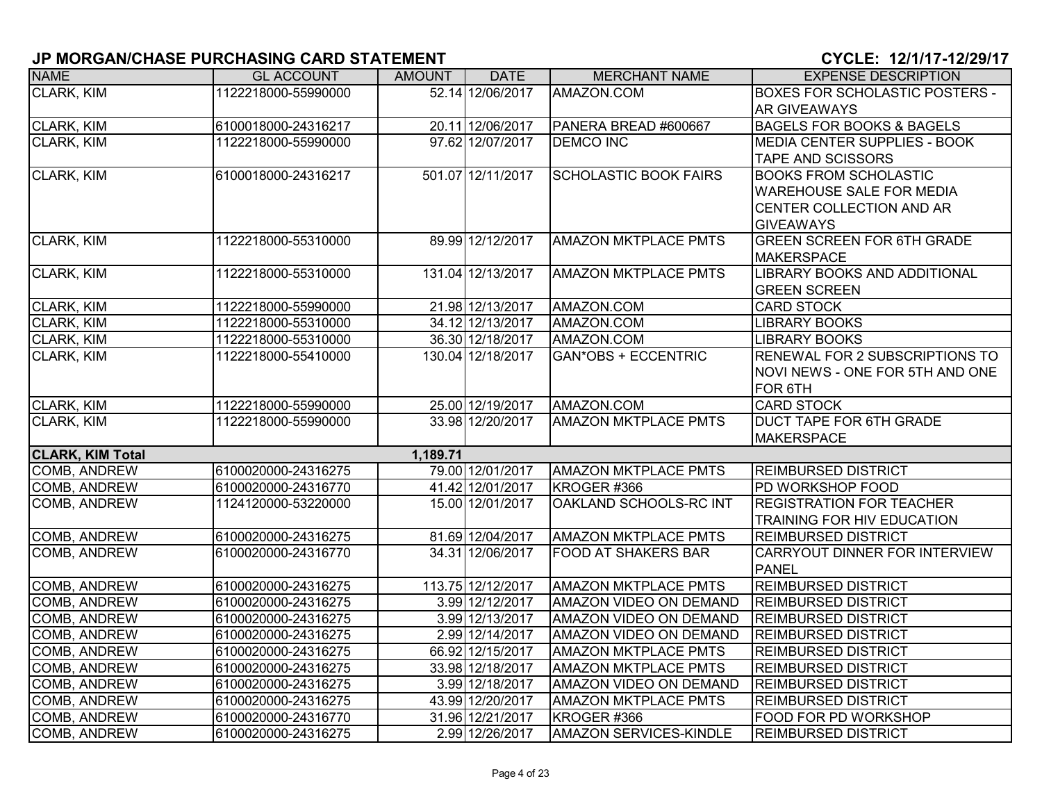| <b>NAME</b>             | <b>GL ACCOUNT</b>   | <b>AMOUNT</b> | <b>DATE</b>       | <b>MERCHANT NAME</b>          | <b>EXPENSE DESCRIPTION</b>            |
|-------------------------|---------------------|---------------|-------------------|-------------------------------|---------------------------------------|
| <b>CLARK, KIM</b>       | 1122218000-55990000 |               | 52.14 12/06/2017  | AMAZON.COM                    | <b>BOXES FOR SCHOLASTIC POSTERS -</b> |
|                         |                     |               |                   |                               | <b>AR GIVEAWAYS</b>                   |
| CLARK, KIM              | 6100018000-24316217 |               | 20.11 12/06/2017  | PANERA BREAD #600667          | <b>BAGELS FOR BOOKS &amp; BAGELS</b>  |
| <b>CLARK, KIM</b>       | 1122218000-55990000 |               | 97.62 12/07/2017  | <b>DEMCO INC</b>              | MEDIA CENTER SUPPLIES - BOOK          |
|                         |                     |               |                   |                               | <b>TAPE AND SCISSORS</b>              |
| CLARK, KIM              | 6100018000-24316217 |               | 501.07 12/11/2017 | <b>SCHOLASTIC BOOK FAIRS</b>  | <b>BOOKS FROM SCHOLASTIC</b>          |
|                         |                     |               |                   |                               | <b>WAREHOUSE SALE FOR MEDIA</b>       |
|                         |                     |               |                   |                               | CENTER COLLECTION AND AR              |
|                         |                     |               |                   |                               | <b>GIVEAWAYS</b>                      |
| CLARK, KIM              | 1122218000-55310000 |               | 89.99 12/12/2017  | <b>AMAZON MKTPLACE PMTS</b>   | <b>GREEN SCREEN FOR 6TH GRADE</b>     |
|                         |                     |               |                   |                               | <b>MAKERSPACE</b>                     |
| <b>CLARK, KIM</b>       | 1122218000-55310000 |               | 131.04 12/13/2017 | <b>AMAZON MKTPLACE PMTS</b>   | <b>LIBRARY BOOKS AND ADDITIONAL</b>   |
|                         |                     |               |                   |                               | <b>GREEN SCREEN</b>                   |
| CLARK, KIM              | 1122218000-55990000 |               | 21.98 12/13/2017  | AMAZON.COM                    | <b>CARD STOCK</b>                     |
| CLARK, KIM              | 1122218000-55310000 |               | 34.12 12/13/2017  | AMAZON.COM                    | <b>LIBRARY BOOKS</b>                  |
| CLARK, KIM              | 1122218000-55310000 |               | 36.30 12/18/2017  | AMAZON.COM                    | <b>LIBRARY BOOKS</b>                  |
| CLARK, KIM              | 1122218000-55410000 |               | 130.04 12/18/2017 | <b>GAN*OBS + ECCENTRIC</b>    | RENEWAL FOR 2 SUBSCRIPTIONS TO        |
|                         |                     |               |                   |                               | NOVI NEWS - ONE FOR 5TH AND ONE       |
|                         |                     |               |                   |                               | FOR 6TH                               |
| CLARK, KIM              | 1122218000-55990000 |               | 25.00 12/19/2017  | AMAZON.COM                    | <b>CARD STOCK</b>                     |
| CLARK, KIM              | 1122218000-55990000 |               | 33.98 12/20/2017  | <b>AMAZON MKTPLACE PMTS</b>   | <b>DUCT TAPE FOR 6TH GRADE</b>        |
|                         |                     |               |                   |                               | <b>MAKERSPACE</b>                     |
| <b>CLARK, KIM Total</b> |                     | 1,189.71      |                   |                               |                                       |
| <b>COMB, ANDREW</b>     | 6100020000-24316275 |               | 79.00 12/01/2017  | <b>AMAZON MKTPLACE PMTS</b>   | <b>REIMBURSED DISTRICT</b>            |
| <b>COMB, ANDREW</b>     | 6100020000-24316770 |               | 41.42 12/01/2017  | KROGER #366                   | PD WORKSHOP FOOD                      |
| COMB, ANDREW            | 1124120000-53220000 |               | 15.00 12/01/2017  | OAKLAND SCHOOLS-RC INT        | <b>REGISTRATION FOR TEACHER</b>       |
|                         |                     |               |                   |                               | TRAINING FOR HIV EDUCATION            |
| <b>COMB, ANDREW</b>     | 6100020000-24316275 |               | 81.69 12/04/2017  | <b>AMAZON MKTPLACE PMTS</b>   | <b>REIMBURSED DISTRICT</b>            |
| COMB, ANDREW            | 6100020000-24316770 |               | 34.31 12/06/2017  | <b>FOOD AT SHAKERS BAR</b>    | CARRYOUT DINNER FOR INTERVIEW         |
|                         |                     |               |                   |                               | <b>PANEL</b>                          |
| <b>COMB, ANDREW</b>     | 6100020000-24316275 |               | 113.75 12/12/2017 | <b>AMAZON MKTPLACE PMTS</b>   | <b>REIMBURSED DISTRICT</b>            |
| COMB, ANDREW            | 6100020000-24316275 |               | 3.99 12/12/2017   | <b>AMAZON VIDEO ON DEMAND</b> | <b>REIMBURSED DISTRICT</b>            |
| <b>COMB, ANDREW</b>     | 6100020000-24316275 |               | 3.99 12/13/2017   | <b>AMAZON VIDEO ON DEMAND</b> | <b>REIMBURSED DISTRICT</b>            |
| COMB, ANDREW            | 6100020000-24316275 |               | 2.99 12/14/2017   | AMAZON VIDEO ON DEMAND        | <b>REIMBURSED DISTRICT</b>            |
| COMB, ANDREW            | 6100020000-24316275 |               | 66.92 12/15/2017  | <b>AMAZON MKTPLACE PMTS</b>   | <b>REIMBURSED DISTRICT</b>            |
| <b>COMB, ANDREW</b>     | 6100020000-24316275 |               | 33.98 12/18/2017  | <b>AMAZON MKTPLACE PMTS</b>   | <b>REIMBURSED DISTRICT</b>            |
| <b>COMB, ANDREW</b>     | 6100020000-24316275 |               | 3.99 12/18/2017   | <b>AMAZON VIDEO ON DEMAND</b> | <b>REIMBURSED DISTRICT</b>            |
| <b>COMB, ANDREW</b>     | 6100020000-24316275 |               | 43.99 12/20/2017  | <b>AMAZON MKTPLACE PMTS</b>   | <b>REIMBURSED DISTRICT</b>            |
| COMB, ANDREW            | 6100020000-24316770 |               | 31.96 12/21/2017  | KROGER #366                   | FOOD FOR PD WORKSHOP                  |
| <b>COMB, ANDREW</b>     | 6100020000-24316275 |               | 2.99 12/26/2017   | <b>AMAZON SERVICES-KINDLE</b> | <b>REIMBURSED DISTRICT</b>            |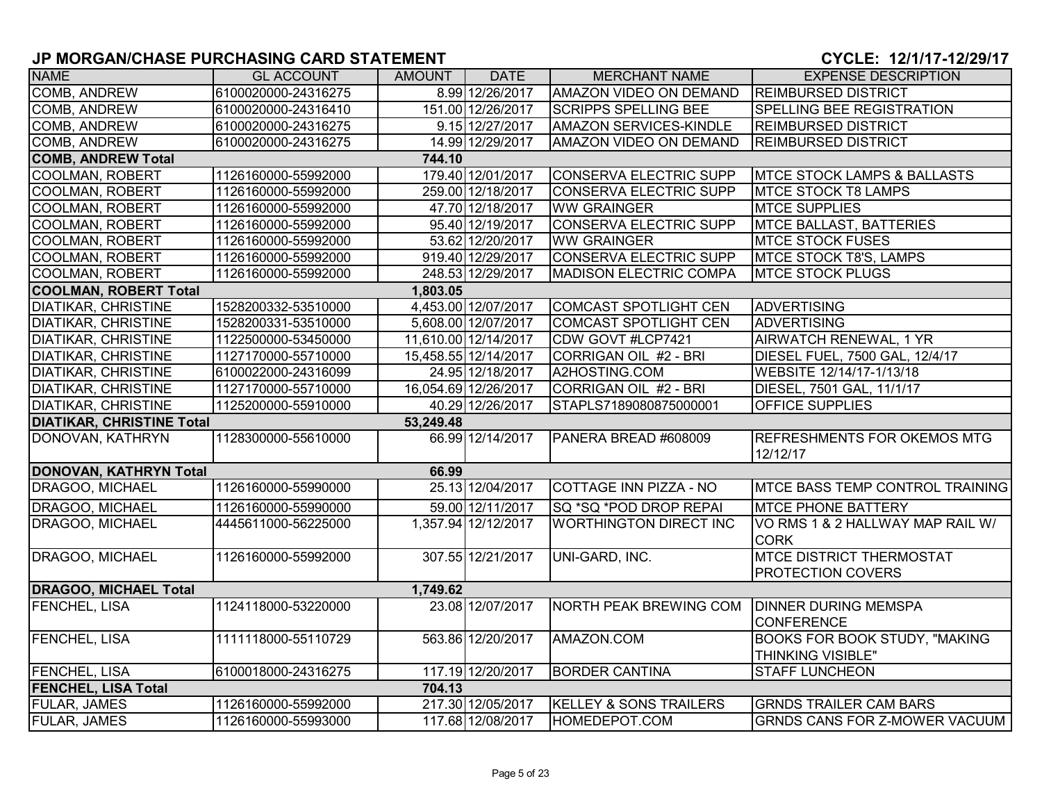| <b>NAME</b>                      | <b>GL ACCOUNT</b>   | <b>AMOUNT</b> | <b>DATE</b>          | <b>MERCHANT NAME</b>          | <b>EXPENSE DESCRIPTION</b>                                  |
|----------------------------------|---------------------|---------------|----------------------|-------------------------------|-------------------------------------------------------------|
| <b>COMB, ANDREW</b>              | 6100020000-24316275 |               | 8.99 12/26/2017      | <b>AMAZON VIDEO ON DEMAND</b> | <b>REIMBURSED DISTRICT</b>                                  |
| <b>COMB, ANDREW</b>              | 6100020000-24316410 |               | 151.00 12/26/2017    | <b>SCRIPPS SPELLING BEE</b>   | SPELLING BEE REGISTRATION                                   |
| COMB, ANDREW                     | 6100020000-24316275 |               | 9.15 12/27/2017      | <b>AMAZON SERVICES-KINDLE</b> | <b>REIMBURSED DISTRICT</b>                                  |
| COMB, ANDREW                     | 6100020000-24316275 |               | 14.99 12/29/2017     | AMAZON VIDEO ON DEMAND        | <b>REIMBURSED DISTRICT</b>                                  |
| <b>COMB, ANDREW Total</b>        |                     | 744.10        |                      |                               |                                                             |
| <b>COOLMAN, ROBERT</b>           | 1126160000-55992000 |               | 179.40 12/01/2017    | <b>CONSERVA ELECTRIC SUPP</b> | <b>IMTCE STOCK LAMPS &amp; BALLASTS</b>                     |
| <b>COOLMAN, ROBERT</b>           | 1126160000-55992000 |               | 259.00 12/18/2017    | CONSERVA ELECTRIC SUPP        | <b>MTCE STOCK T8 LAMPS</b>                                  |
| <b>COOLMAN, ROBERT</b>           | 1126160000-55992000 |               | 47.70 12/18/2017     | <b>WW GRAINGER</b>            | <b>MTCE SUPPLIES</b>                                        |
| <b>COOLMAN, ROBERT</b>           | 1126160000-55992000 |               | 95.40 12/19/2017     | <b>CONSERVA ELECTRIC SUPP</b> | <b>MTCE BALLAST, BATTERIES</b>                              |
| <b>COOLMAN, ROBERT</b>           | 1126160000-55992000 |               | 53.62 12/20/2017     | <b>WW GRAINGER</b>            | <b>MTCE STOCK FUSES</b>                                     |
| <b>COOLMAN, ROBERT</b>           | 1126160000-55992000 |               | 919.40 12/29/2017    | CONSERVA ELECTRIC SUPP        | <b>MTCE STOCK T8'S, LAMPS</b>                               |
| <b>COOLMAN, ROBERT</b>           | 1126160000-55992000 |               | 248.53 12/29/2017    | <b>MADISON ELECTRIC COMPA</b> | <b>MTCE STOCK PLUGS</b>                                     |
| <b>COOLMAN, ROBERT Total</b>     |                     | 1,803.05      |                      |                               |                                                             |
| <b>DIATIKAR, CHRISTINE</b>       | 1528200332-53510000 |               | 4,453.00 12/07/2017  | <b>COMCAST SPOTLIGHT CEN</b>  | <b>ADVERTISING</b>                                          |
| <b>DIATIKAR, CHRISTINE</b>       | 1528200331-53510000 |               | 5,608.00 12/07/2017  | <b>COMCAST SPOTLIGHT CEN</b>  | <b>ADVERTISING</b>                                          |
| <b>DIATIKAR, CHRISTINE</b>       | 1122500000-53450000 |               | 11,610.00 12/14/2017 | CDW GOVT #LCP7421             | <b>AIRWATCH RENEWAL, 1 YR</b>                               |
| <b>DIATIKAR, CHRISTINE</b>       | 1127170000-55710000 |               | 15,458.55 12/14/2017 | CORRIGAN OIL #2 - BRI         | DIESEL FUEL, 7500 GAL, 12/4/17                              |
| <b>DIATIKAR, CHRISTINE</b>       | 6100022000-24316099 |               | 24.95 12/18/2017     | A2HOSTING.COM                 | WEBSITE 12/14/17-1/13/18                                    |
| <b>DIATIKAR, CHRISTINE</b>       | 1127170000-55710000 |               | 16,054.69 12/26/2017 | CORRIGAN OIL #2 - BRI         | DIESEL, 7501 GAL, 11/1/17                                   |
| <b>DIATIKAR, CHRISTINE</b>       | 1125200000-55910000 |               | 40.29 12/26/2017     | STAPLS7189080875000001        | OFFICE SUPPLIES                                             |
| <b>DIATIKAR, CHRISTINE Total</b> |                     | 53,249.48     |                      |                               |                                                             |
| DONOVAN, KATHRYN                 | 1128300000-55610000 |               | 66.99 12/14/2017     | PANERA BREAD #608009          | <b>REFRESHMENTS FOR OKEMOS MTG</b><br>12/12/17              |
| <b>DONOVAN, KATHRYN Total</b>    |                     | 66.99         |                      |                               |                                                             |
| DRAGOO, MICHAEL                  | 1126160000-55990000 |               | 25.13 12/04/2017     | COTTAGE INN PIZZA - NO        | <b>IMTCE BASS TEMP CONTROL TRAINING</b>                     |
| <b>DRAGOO, MICHAEL</b>           | 1126160000-55990000 |               | 59.00 12/11/2017     | SQ *SQ *POD DROP REPAI        | <b>MTCE PHONE BATTERY</b>                                   |
| DRAGOO, MICHAEL                  | 4445611000-56225000 |               | 1,357.94 12/12/2017  | <b>WORTHINGTON DIRECT INC</b> | VO RMS 1 & 2 HALLWAY MAP RAIL W/<br><b>CORK</b>             |
| DRAGOO, MICHAEL                  | 1126160000-55992000 |               | 307.55 12/21/2017    | UNI-GARD, INC.                | <b>MTCE DISTRICT THERMOSTAT</b><br><b>PROTECTION COVERS</b> |
| <b>DRAGOO, MICHAEL Total</b>     |                     | 1,749.62      |                      |                               |                                                             |
| <b>FENCHEL, LISA</b>             | 1124118000-53220000 |               | 23.08 12/07/2017     | NORTH PEAK BREWING COM        | <b>DINNER DURING MEMSPA</b><br><b>CONFERENCE</b>            |
| <b>FENCHEL, LISA</b>             | 1111118000-55110729 |               | 563.86 12/20/2017    | AMAZON.COM                    | <b>BOOKS FOR BOOK STUDY, "MAKING</b><br>THINKING VISIBLE"   |
| <b>FENCHEL, LISA</b>             | 6100018000-24316275 |               | 117.19 12/20/2017    | <b>BORDER CANTINA</b>         | <b>STAFF LUNCHEON</b>                                       |
| <b>FENCHEL, LISA Total</b>       |                     | 704.13        |                      |                               |                                                             |
| <b>FULAR, JAMES</b>              | 1126160000-55992000 |               | 217.30 12/05/2017    | KELLEY & SONS TRAILERS        | <b>GRNDS TRAILER CAM BARS</b>                               |
| <b>FULAR, JAMES</b>              | 1126160000-55993000 |               | 117.68 12/08/2017    | <b>HOMEDEPOT.COM</b>          | <b>GRNDS CANS FOR Z-MOWER VACUUM</b>                        |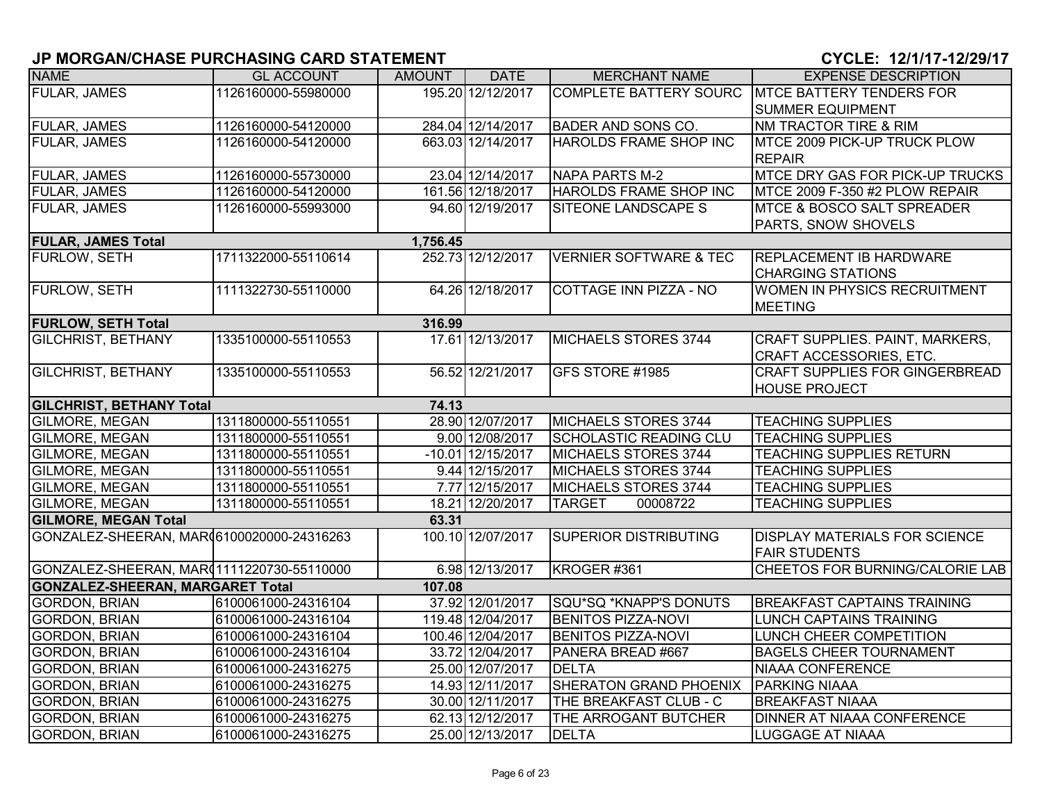| <b>NAME</b>                                | <b>GL ACCOUNT</b>   | <b>AMOUNT</b> | <b>DATE</b>         | <b>MERCHANT NAME</b>              | <b>EXPENSE DESCRIPTION</b>             |
|--------------------------------------------|---------------------|---------------|---------------------|-----------------------------------|----------------------------------------|
| <b>FULAR, JAMES</b>                        | 1126160000-55980000 |               | 195.20 12/12/2017   | <b>COMPLETE BATTERY SOURC</b>     | <b>MTCE BATTERY TENDERS FOR</b>        |
|                                            |                     |               |                     |                                   | <b>SUMMER EQUIPMENT</b>                |
| <b>FULAR, JAMES</b>                        | 1126160000-54120000 |               | 284.04 12/14/2017   | <b>BADER AND SONS CO.</b>         | NM TRACTOR TIRE & RIM                  |
| FULAR, JAMES                               | 1126160000-54120000 |               | 663.03 12/14/2017   | <b>HAROLDS FRAME SHOP INC</b>     | <b>MTCE 2009 PICK-UP TRUCK PLOW</b>    |
|                                            |                     |               |                     |                                   | <b>REPAIR</b>                          |
| <b>FULAR, JAMES</b>                        | 1126160000-55730000 |               | 23.04 12/14/2017    | <b>NAPA PARTS M-2</b>             | <b>MTCE DRY GAS FOR PICK-UP TRUCKS</b> |
| <b>FULAR, JAMES</b>                        | 1126160000-54120000 |               | 161.56 12/18/2017   | HAROLDS FRAME SHOP INC            | MTCE 2009 F-350 #2 PLOW REPAIR         |
| <b>FULAR, JAMES</b>                        | 1126160000-55993000 |               | 94.60 12/19/2017    | <b>SITEONE LANDSCAPE S</b>        | <b>MTCE &amp; BOSCO SALT SPREADER</b>  |
|                                            |                     |               |                     |                                   | PARTS, SNOW SHOVELS                    |
| <b>FULAR, JAMES Total</b>                  |                     | 1,756.45      |                     |                                   |                                        |
| FURLOW, SETH                               | 1711322000-55110614 |               | 252.73 12/12/2017   | <b>VERNIER SOFTWARE &amp; TEC</b> | <b>REPLACEMENT IB HARDWARE</b>         |
|                                            |                     |               |                     |                                   | <b>CHARGING STATIONS</b>               |
| <b>FURLOW, SETH</b>                        | 1111322730-55110000 |               | 64.26 12/18/2017    | <b>COTTAGE INN PIZZA - NO</b>     | <b>WOMEN IN PHYSICS RECRUITMENT</b>    |
|                                            |                     |               |                     |                                   | <b>MEETING</b>                         |
| <b>FURLOW, SETH Total</b>                  |                     | 316.99        |                     |                                   |                                        |
| <b>GILCHRIST, BETHANY</b>                  | 1335100000-55110553 |               | 17.61 12/13/2017    | MICHAELS STORES 3744              | CRAFT SUPPLIES. PAINT, MARKERS,        |
|                                            |                     |               |                     |                                   | CRAFT ACCESSORIES, ETC.                |
| <b>GILCHRIST, BETHANY</b>                  | 1335100000-55110553 |               | 56.52 12/21/2017    | GFS STORE #1985                   | <b>CRAFT SUPPLIES FOR GINGERBREAD</b>  |
|                                            |                     |               |                     |                                   | <b>HOUSE PROJECT</b>                   |
| <b>GILCHRIST, BETHANY Total</b>            |                     | 74.13         |                     |                                   |                                        |
| GILMORE, MEGAN                             | 1311800000-55110551 |               | 28.90 12/07/2017    | MICHAELS STORES 3744              | <b>TEACHING SUPPLIES</b>               |
| GILMORE, MEGAN                             | 1311800000-55110551 |               | 9.00 12/08/2017     | SCHOLASTIC READING CLU            | <b>TEACHING SUPPLIES</b>               |
| GILMORE, MEGAN                             | 1311800000-55110551 |               | $-10.01$ 12/15/2017 | MICHAELS STORES 3744              | <b>TEACHING SUPPLIES RETURN</b>        |
| GILMORE, MEGAN                             | 1311800000-55110551 |               | 9.44 12/15/2017     | MICHAELS STORES 3744              | <b>TEACHING SUPPLIES</b>               |
| <b>GILMORE, MEGAN</b>                      | 1311800000-55110551 |               | 7.77 12/15/2017     | MICHAELS STORES 3744              | <b>TEACHING SUPPLIES</b>               |
| GILMORE, MEGAN                             | 1311800000-55110551 |               | 18.21 12/20/2017    | <b>TARGET</b><br>00008722         | <b>TEACHING SUPPLIES</b>               |
| <b>GILMORE, MEGAN Total</b>                |                     | 63.31         |                     |                                   |                                        |
| GONZALEZ-SHEERAN, MAR (6100020000-24316263 |                     |               | 100.10 12/07/2017   | SUPERIOR DISTRIBUTING             | <b>DISPLAY MATERIALS FOR SCIENCE</b>   |
|                                            |                     |               |                     |                                   | <b>FAIR STUDENTS</b>                   |
| GONZALEZ-SHEERAN, MAR(1111220730-55110000  |                     |               | 6.98 12/13/2017     | KROGER #361                       | CHEETOS FOR BURNING/CALORIE LAB        |
| <b>GONZALEZ-SHEERAN, MARGARET Total</b>    |                     | 107.08        |                     |                                   |                                        |
| <b>GORDON, BRIAN</b>                       | 6100061000-24316104 |               | 37.92 12/01/2017    | SQU*SQ *KNAPP'S DONUTS            | <b>BREAKFAST CAPTAINS TRAINING</b>     |
| <b>GORDON, BRIAN</b>                       | 6100061000-24316104 |               | 119.48 12/04/2017   | <b>BENITOS PIZZA-NOVI</b>         | <b>LUNCH CAPTAINS TRAINING</b>         |
| <b>GORDON, BRIAN</b>                       | 6100061000-24316104 |               | 100.46 12/04/2017   | <b>BENITOS PIZZA-NOVI</b>         | LUNCH CHEER COMPETITION                |
| GORDON, BRIAN                              | 6100061000-24316104 |               | 33.72 12/04/2017    | PANERA BREAD #667                 | <b>BAGELS CHEER TOURNAMENT</b>         |
| <b>GORDON, BRIAN</b>                       | 6100061000-24316275 |               | 25.00 12/07/2017    | <b>DELTA</b>                      | <b>NIAAA CONFERENCE</b>                |
| <b>GORDON, BRIAN</b>                       | 6100061000-24316275 |               | 14.93 12/11/2017    | SHERATON GRAND PHOENIX            | <b>PARKING NIAAA</b>                   |
| <b>GORDON, BRIAN</b>                       | 6100061000-24316275 |               | 30.00 12/11/2017    | THE BREAKFAST CLUB - C            | <b>BREAKFAST NIAAA</b>                 |
| <b>GORDON, BRIAN</b>                       | 6100061000-24316275 |               | 62.13 12/12/2017    | THE ARROGANT BUTCHER              | <b>DINNER AT NIAAA CONFERENCE</b>      |
| <b>GORDON, BRIAN</b>                       | 6100061000-24316275 |               | 25.00 12/13/2017    | <b>DELTA</b>                      | <b>LUGGAGE AT NIAAA</b>                |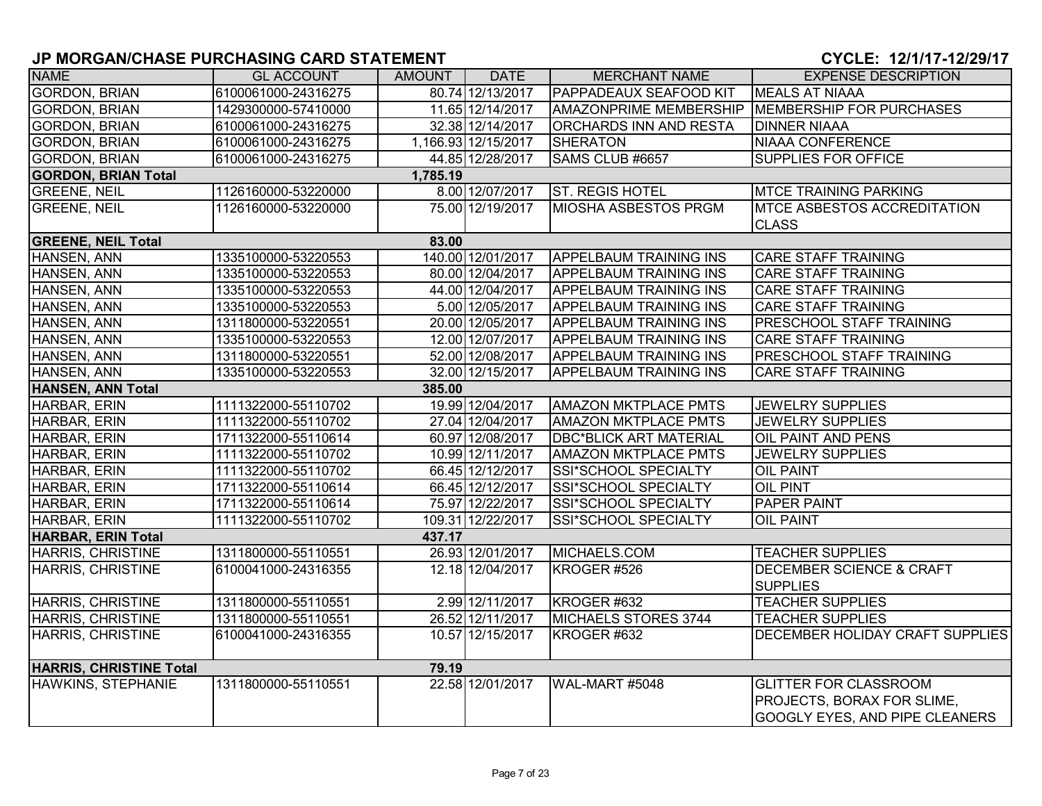| <b>NAME</b>                    | <b>GL ACCOUNT</b>   | AMOUNT   | <b>DATE</b>         | <b>MERCHANT NAME</b>          | <b>EXPENSE DESCRIPTION</b>                                                                          |
|--------------------------------|---------------------|----------|---------------------|-------------------------------|-----------------------------------------------------------------------------------------------------|
| <b>GORDON, BRIAN</b>           | 6100061000-24316275 |          | 80.74 12/13/2017    | PAPPADEAUX SEAFOOD KIT        | <b>MEALS AT NIAAA</b>                                                                               |
| <b>GORDON, BRIAN</b>           | 1429300000-57410000 |          | 11.65 12/14/2017    | <b>AMAZONPRIME MEMBERSHIP</b> | MEMBERSHIP FOR PURCHASES                                                                            |
| <b>GORDON, BRIAN</b>           | 6100061000-24316275 |          | 32.38 12/14/2017    | <b>ORCHARDS INN AND RESTA</b> | <b>DINNER NIAAA</b>                                                                                 |
| <b>GORDON, BRIAN</b>           | 6100061000-24316275 |          | 1,166.93 12/15/2017 | <b>SHERATON</b>               | NIAAA CONFERENCE                                                                                    |
| <b>GORDON, BRIAN</b>           | 6100061000-24316275 |          | 44.85 12/28/2017    | SAMS CLUB #6657               | <b>SUPPLIES FOR OFFICE</b>                                                                          |
| <b>GORDON, BRIAN Total</b>     |                     | 1,785.19 |                     |                               |                                                                                                     |
| <b>GREENE, NEIL</b>            | 1126160000-53220000 |          | 8.00 12/07/2017     | <b>ST. REGIS HOTEL</b>        | <b>MTCE TRAINING PARKING</b>                                                                        |
| <b>GREENE, NEIL</b>            | 1126160000-53220000 |          | 75.00 12/19/2017    | <b>MIOSHA ASBESTOS PRGM</b>   | <b>MTCE ASBESTOS ACCREDITATION</b><br><b>CLASS</b>                                                  |
| <b>GREENE, NEIL Total</b>      |                     | 83.00    |                     |                               |                                                                                                     |
| HANSEN, ANN                    | 1335100000-53220553 |          | 140.00 12/01/2017   | <b>APPELBAUM TRAINING INS</b> | <b>CARE STAFF TRAINING</b>                                                                          |
| HANSEN, ANN                    | 1335100000-53220553 |          | 80.00 12/04/2017    | <b>APPELBAUM TRAINING INS</b> | <b>CARE STAFF TRAINING</b>                                                                          |
| HANSEN, ANN                    | 1335100000-53220553 |          | 44.00 12/04/2017    | <b>APPELBAUM TRAINING INS</b> | <b>CARE STAFF TRAINING</b>                                                                          |
| HANSEN, ANN                    | 1335100000-53220553 |          | 5.00 12/05/2017     | <b>APPELBAUM TRAINING INS</b> | <b>CARE STAFF TRAINING</b>                                                                          |
| HANSEN, ANN                    | 1311800000-53220551 |          | 20.00 12/05/2017    | <b>APPELBAUM TRAINING INS</b> | <b>PRESCHOOL STAFF TRAINING</b>                                                                     |
| HANSEN, ANN                    | 1335100000-53220553 |          | 12.00 12/07/2017    | <b>APPELBAUM TRAINING INS</b> | <b>CARE STAFF TRAINING</b>                                                                          |
| HANSEN, ANN                    | 1311800000-53220551 |          | 52.00 12/08/2017    | <b>APPELBAUM TRAINING INS</b> | <b>PRESCHOOL STAFF TRAINING</b>                                                                     |
| HANSEN, ANN                    | 1335100000-53220553 |          | 32.00 12/15/2017    | <b>APPELBAUM TRAINING INS</b> | <b>CARE STAFF TRAINING</b>                                                                          |
| HANSEN, ANN Total              |                     | 385.00   |                     |                               |                                                                                                     |
| HARBAR, ERIN                   | 1111322000-55110702 |          | 19.99 12/04/2017    | <b>AMAZON MKTPLACE PMTS</b>   | <b>JEWELRY SUPPLIES</b>                                                                             |
| HARBAR, ERIN                   | 1111322000-55110702 |          | 27.04 12/04/2017    | <b>AMAZON MKTPLACE PMTS</b>   | <b>JEWELRY SUPPLIES</b>                                                                             |
| HARBAR, ERIN                   | 1711322000-55110614 |          | 60.97 12/08/2017    | <b>DBC*BLICK ART MATERIAL</b> | <b>OIL PAINT AND PENS</b>                                                                           |
| HARBAR, ERIN                   | 1111322000-55110702 |          | 10.99 12/11/2017    | <b>AMAZON MKTPLACE PMTS</b>   | <b>JEWELRY SUPPLIES</b>                                                                             |
| HARBAR, ERIN                   | 1111322000-55110702 |          | 66.45 12/12/2017    | SSI*SCHOOL SPECIALTY          | <b>OIL PAINT</b>                                                                                    |
| HARBAR, ERIN                   | 1711322000-55110614 |          | 66.45 12/12/2017    | SSI*SCHOOL SPECIALTY          | <b>OIL PINT</b>                                                                                     |
| HARBAR, ERIN                   | 1711322000-55110614 |          | 75.97 12/22/2017    | SSI*SCHOOL SPECIALTY          | <b>PAPER PAINT</b>                                                                                  |
| HARBAR, ERIN                   | 1111322000-55110702 |          | 109.31 12/22/2017   | SSI*SCHOOL SPECIALTY          | <b>OIL PAINT</b>                                                                                    |
| <b>HARBAR, ERIN Total</b>      |                     | 437.17   |                     |                               |                                                                                                     |
| HARRIS, CHRISTINE              | 1311800000-55110551 |          | 26.93 12/01/2017    | MICHAELS.COM                  | <b>TEACHER SUPPLIES</b>                                                                             |
| <b>HARRIS, CHRISTINE</b>       | 6100041000-24316355 |          | 12.18 12/04/2017    | KROGER #526                   | <b>DECEMBER SCIENCE &amp; CRAFT</b><br><b>SUPPLIES</b>                                              |
| <b>HARRIS, CHRISTINE</b>       | 1311800000-55110551 |          | 2.99 12/11/2017     | KROGER #632                   | <b>TEACHER SUPPLIES</b>                                                                             |
| <b>HARRIS, CHRISTINE</b>       | 1311800000-55110551 |          | 26.52 12/11/2017    | MICHAELS STORES 3744          | <b>TEACHER SUPPLIES</b>                                                                             |
| HARRIS, CHRISTINE              | 6100041000-24316355 |          | 10.57 12/15/2017    | KROGER #632                   | <b>DECEMBER HOLIDAY CRAFT SUPPLIES</b>                                                              |
| <b>HARRIS, CHRISTINE Total</b> |                     | 79.19    |                     |                               |                                                                                                     |
| <b>HAWKINS, STEPHANIE</b>      | 1311800000-55110551 |          | 22.58 12/01/2017    | WAL-MART #5048                | <b>GLITTER FOR CLASSROOM</b><br><b>PROJECTS, BORAX FOR SLIME,</b><br>GOOGLY EYES, AND PIPE CLEANERS |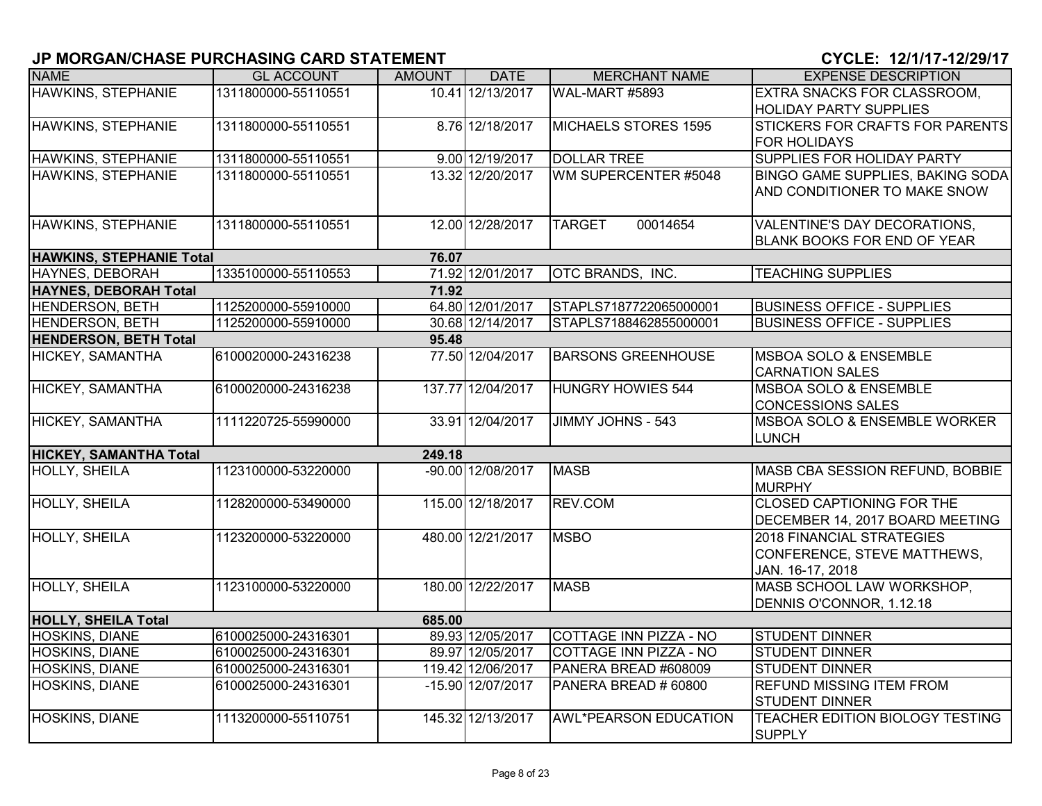| <b>NAME</b>                     | <b>GL ACCOUNT</b>   | <b>AMOUNT</b> | <b>DATE</b>       | <b>MERCHANT NAME</b>         | <b>EXPENSE DESCRIPTION</b>                       |
|---------------------------------|---------------------|---------------|-------------------|------------------------------|--------------------------------------------------|
| <b>HAWKINS, STEPHANIE</b>       | 1311800000-55110551 |               | 10.41 12/13/2017  | WAL-MART #5893               | EXTRA SNACKS FOR CLASSROOM,                      |
|                                 |                     |               |                   |                              | <b>HOLIDAY PARTY SUPPLIES</b>                    |
| HAWKINS, STEPHANIE              | 1311800000-55110551 |               | 8.76 12/18/2017   | <b>MICHAELS STORES 1595</b>  | <b>STICKERS FOR CRAFTS FOR PARENTS</b>           |
|                                 |                     |               |                   |                              | <b>FOR HOLIDAYS</b>                              |
| HAWKINS, STEPHANIE              | 1311800000-55110551 |               | 9.00 12/19/2017   | <b>DOLLAR TREE</b>           | SUPPLIES FOR HOLIDAY PARTY                       |
| <b>HAWKINS, STEPHANIE</b>       | 1311800000-55110551 |               | 13.32 12/20/2017  | WM SUPERCENTER #5048         | BINGO GAME SUPPLIES, BAKING SODA                 |
|                                 |                     |               |                   |                              | AND CONDITIONER TO MAKE SNOW                     |
| HAWKINS, STEPHANIE              | 1311800000-55110551 |               | 12.00 12/28/2017  | 00014654<br><b>TARGET</b>    | VALENTINE'S DAY DECORATIONS,                     |
|                                 |                     |               |                   |                              | BLANK BOOKS FOR END OF YEAR                      |
| <b>HAWKINS, STEPHANIE Total</b> |                     | 76.07         |                   |                              |                                                  |
| <b>HAYNES, DEBORAH</b>          | 1335100000-55110553 |               | 71.92 12/01/2017  | OTC BRANDS, INC.             | <b>TEACHING SUPPLIES</b>                         |
| <b>HAYNES, DEBORAH Total</b>    |                     | 71.92         |                   |                              |                                                  |
| <b>HENDERSON, BETH</b>          | 1125200000-55910000 |               | 64.80 12/01/2017  | STAPLS7187722065000001       | <b>BUSINESS OFFICE - SUPPLIES</b>                |
| <b>HENDERSON, BETH</b>          | 1125200000-55910000 |               | 30.68 12/14/2017  | STAPLS7188462855000001       | <b>BUSINESS OFFICE - SUPPLIES</b>                |
| <b>HENDERSON, BETH Total</b>    |                     | 95.48         |                   |                              |                                                  |
| HICKEY, SAMANTHA                | 6100020000-24316238 |               | 77.50 12/04/2017  | <b>BARSONS GREENHOUSE</b>    | <b>MSBOA SOLO &amp; ENSEMBLE</b>                 |
|                                 |                     |               |                   |                              | <b>CARNATION SALES</b>                           |
| <b>HICKEY, SAMANTHA</b>         | 6100020000-24316238 |               | 137.77 12/04/2017 | <b>HUNGRY HOWIES 544</b>     | <b>MSBOA SOLO &amp; ENSEMBLE</b>                 |
|                                 |                     |               |                   |                              | <b>CONCESSIONS SALES</b>                         |
| HICKEY, SAMANTHA                | 1111220725-55990000 |               | 33.91 12/04/2017  | JIMMY JOHNS - 543            | MSBOA SOLO & ENSEMBLE WORKER                     |
|                                 |                     |               |                   |                              | <b>LUNCH</b>                                     |
| <b>HICKEY, SAMANTHA Total</b>   |                     | 249.18        |                   |                              |                                                  |
| <b>HOLLY, SHEILA</b>            | 1123100000-53220000 |               | -90.00 12/08/2017 | <b>MASB</b>                  | MASB CBA SESSION REFUND, BOBBIE<br><b>MURPHY</b> |
| <b>HOLLY, SHEILA</b>            | 1128200000-53490000 |               | 115.00 12/18/2017 | REV.COM                      | <b>CLOSED CAPTIONING FOR THE</b>                 |
|                                 |                     |               |                   |                              | DECEMBER 14, 2017 BOARD MEETING                  |
| <b>HOLLY, SHEILA</b>            | 1123200000-53220000 |               | 480.00 12/21/2017 | <b>MSBO</b>                  | <b>2018 FINANCIAL STRATEGIES</b>                 |
|                                 |                     |               |                   |                              | CONFERENCE, STEVE MATTHEWS,                      |
|                                 |                     |               |                   |                              | JAN. 16-17, 2018                                 |
| <b>HOLLY, SHEILA</b>            | 1123100000-53220000 |               | 180.00 12/22/2017 | <b>MASB</b>                  | MASB SCHOOL LAW WORKSHOP,                        |
|                                 |                     |               |                   |                              | DENNIS O'CONNOR, 1.12.18                         |
| <b>HOLLY, SHEILA Total</b>      |                     | 685.00        |                   |                              |                                                  |
| HOSKINS, DIANE                  | 6100025000-24316301 |               | 89.93 12/05/2017  | COTTAGE INN PIZZA - NO       | <b>STUDENT DINNER</b>                            |
| HOSKINS, DIANE                  | 6100025000-24316301 |               | 89.97 12/05/2017  | COTTAGE INN PIZZA - NO       | <b>STUDENT DINNER</b>                            |
| HOSKINS, DIANE                  | 6100025000-24316301 |               | 119.42 12/06/2017 | PANERA BREAD #608009         | <b>STUDENT DINNER</b>                            |
| <b>HOSKINS, DIANE</b>           | 6100025000-24316301 |               | -15.90 12/07/2017 | PANERA BREAD # 60800         | <b>REFUND MISSING ITEM FROM</b>                  |
|                                 |                     |               |                   |                              | <b>STUDENT DINNER</b>                            |
| <b>HOSKINS, DIANE</b>           | 1113200000-55110751 |               | 145.32 12/13/2017 | <b>AWL*PEARSON EDUCATION</b> | TEACHER EDITION BIOLOGY TESTING<br><b>SUPPLY</b> |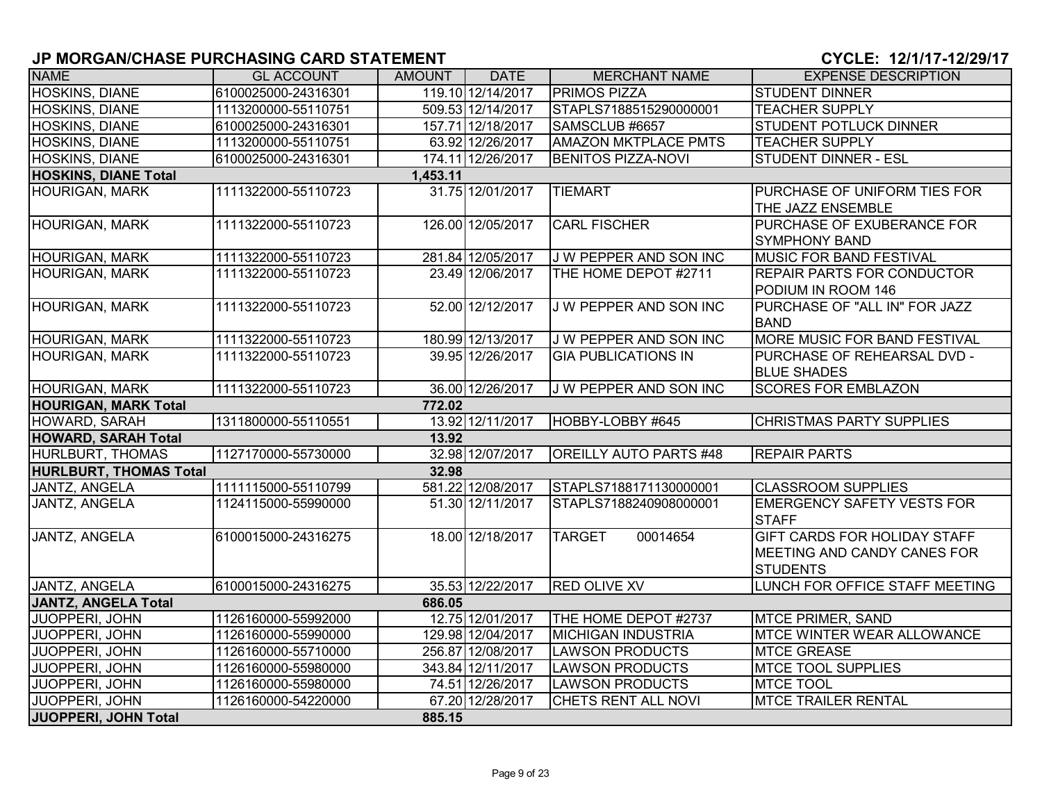| <b>NAME</b>                            | <b>GL ACCOUNT</b>   | <b>AMOUNT</b> | <b>DATE</b>       | <b>MERCHANT NAME</b>          | <b>EXPENSE DESCRIPTION</b>                                                            |
|----------------------------------------|---------------------|---------------|-------------------|-------------------------------|---------------------------------------------------------------------------------------|
| <b>HOSKINS, DIANE</b>                  | 6100025000-24316301 |               | 119.10 12/14/2017 | <b>PRIMOS PIZZA</b>           | <b>STUDENT DINNER</b>                                                                 |
| <b>HOSKINS, DIANE</b>                  | 1113200000-55110751 |               | 509.53 12/14/2017 | STAPLS7188515290000001        | <b>TEACHER SUPPLY</b>                                                                 |
| <b>HOSKINS, DIANE</b>                  | 6100025000-24316301 |               | 157.71 12/18/2017 | SAMSCLUB #6657                | <b>STUDENT POTLUCK DINNER</b>                                                         |
| HOSKINS, DIANE                         | 1113200000-55110751 |               | 63.92 12/26/2017  | <b>AMAZON MKTPLACE PMTS</b>   | <b>TEACHER SUPPLY</b>                                                                 |
| HOSKINS, DIANE                         | 6100025000-24316301 |               | 174.11 12/26/2017 | <b>BENITOS PIZZA-NOVI</b>     | <b>STUDENT DINNER - ESL</b>                                                           |
| <b>HOSKINS, DIANE Total</b>            |                     | 1,453.11      |                   |                               |                                                                                       |
| <b>HOURIGAN, MARK</b>                  | 1111322000-55110723 |               | 31.75 12/01/2017  | <b>TIEMART</b>                | PURCHASE OF UNIFORM TIES FOR<br>THE JAZZ ENSEMBLE                                     |
| <b>HOURIGAN, MARK</b>                  | 1111322000-55110723 |               | 126.00 12/05/2017 | <b>CARL FISCHER</b>           | PURCHASE OF EXUBERANCE FOR<br><b>SYMPHONY BAND</b>                                    |
| <b>HOURIGAN, MARK</b>                  | 1111322000-55110723 |               | 281.84 12/05/2017 | J W PEPPER AND SON INC        | <b>MUSIC FOR BAND FESTIVAL</b>                                                        |
| <b>HOURIGAN, MARK</b>                  | 1111322000-55110723 |               | 23.49 12/06/2017  | THE HOME DEPOT #2711          | <b>REPAIR PARTS FOR CONDUCTOR</b><br>PODIUM IN ROOM 146                               |
| <b>HOURIGAN, MARK</b>                  | 1111322000-55110723 |               | 52.00 12/12/2017  | J W PEPPER AND SON INC        | PURCHASE OF "ALL IN" FOR JAZZ<br><b>BAND</b>                                          |
| HOURIGAN, MARK                         | 1111322000-55110723 |               | 180.99 12/13/2017 | J W PEPPER AND SON INC        | MORE MUSIC FOR BAND FESTIVAL                                                          |
| <b>HOURIGAN, MARK</b>                  | 1111322000-55110723 |               | 39.95 12/26/2017  | <b>GIA PUBLICATIONS IN</b>    | PURCHASE OF REHEARSAL DVD -<br><b>BLUE SHADES</b>                                     |
| <b>HOURIGAN, MARK</b>                  | 1111322000-55110723 |               | 36.00 12/26/2017  | <b>J W PEPPER AND SON INC</b> | <b>SCORES FOR EMBLAZON</b>                                                            |
| <b>HOURIGAN, MARK Total</b>            |                     | 772.02        |                   |                               |                                                                                       |
| HOWARD, SARAH                          | 1311800000-55110551 |               | 13.92 12/11/2017  | HOBBY-LOBBY #645              | <b>CHRISTMAS PARTY SUPPLIES</b>                                                       |
| <b>HOWARD, SARAH Total</b>             |                     | 13.92         |                   |                               |                                                                                       |
| HURLBURT, THOMAS                       | 1127170000-55730000 |               | 32.98 12/07/2017  | <b>OREILLY AUTO PARTS #48</b> | <b>REPAIR PARTS</b>                                                                   |
| <b>HURLBURT, THOMAS Total</b>          |                     | 32.98         |                   |                               |                                                                                       |
| JANTZ, ANGELA                          | 1111115000-55110799 |               | 581.22 12/08/2017 | STAPLS7188171130000001        | <b>CLASSROOM SUPPLIES</b>                                                             |
| <b>JANTZ, ANGELA</b>                   | 1124115000-55990000 |               | 51.30 12/11/2017  | STAPLS7188240908000001        | <b>EMERGENCY SAFETY VESTS FOR</b><br><b>STAFF</b>                                     |
| JANTZ, ANGELA                          | 6100015000-24316275 |               | 18.00 12/18/2017  | 00014654<br><b>TARGET</b>     | <b>GIFT CARDS FOR HOLIDAY STAFF</b><br>MEETING AND CANDY CANES FOR<br><b>STUDENTS</b> |
| JANTZ, ANGELA                          | 6100015000-24316275 |               | 35.53 12/22/2017  | <b>RED OLIVE XV</b>           | LUNCH FOR OFFICE STAFF MEETING                                                        |
| <b>JANTZ, ANGELA Total</b>             |                     | 686.05        |                   |                               |                                                                                       |
| <b>JUOPPERI, JOHN</b>                  | 1126160000-55992000 |               | 12.75 12/01/2017  | THE HOME DEPOT #2737          | <b>MTCE PRIMER, SAND</b>                                                              |
| <b>JUOPPERI, JOHN</b>                  | 1126160000-55990000 |               | 129.98 12/04/2017 | <b>MICHIGAN INDUSTRIA</b>     | <b>MTCE WINTER WEAR ALLOWANCE</b>                                                     |
| JUOPPERI, JOHN                         | 1126160000-55710000 |               | 256.87 12/08/2017 | <b>LAWSON PRODUCTS</b>        | <b>MTCE GREASE</b>                                                                    |
| JUOPPERI, JOHN                         | 1126160000-55980000 |               | 343.84 12/11/2017 | <b>LAWSON PRODUCTS</b>        | <b>MTCE TOOL SUPPLIES</b>                                                             |
|                                        |                     |               |                   |                               |                                                                                       |
| JUOPPERI, JOHN                         | 1126160000-55980000 |               | 74.51 12/26/2017  | <b>LAWSON PRODUCTS</b>        | <b>MTCE TOOL</b>                                                                      |
| JUOPPERI, JOHN<br>JUOPPERI, JOHN Total | 1126160000-54220000 | 885.15        | 67.20 12/28/2017  | CHETS RENT ALL NOVI           | <b>MTCE TRAILER RENTAL</b>                                                            |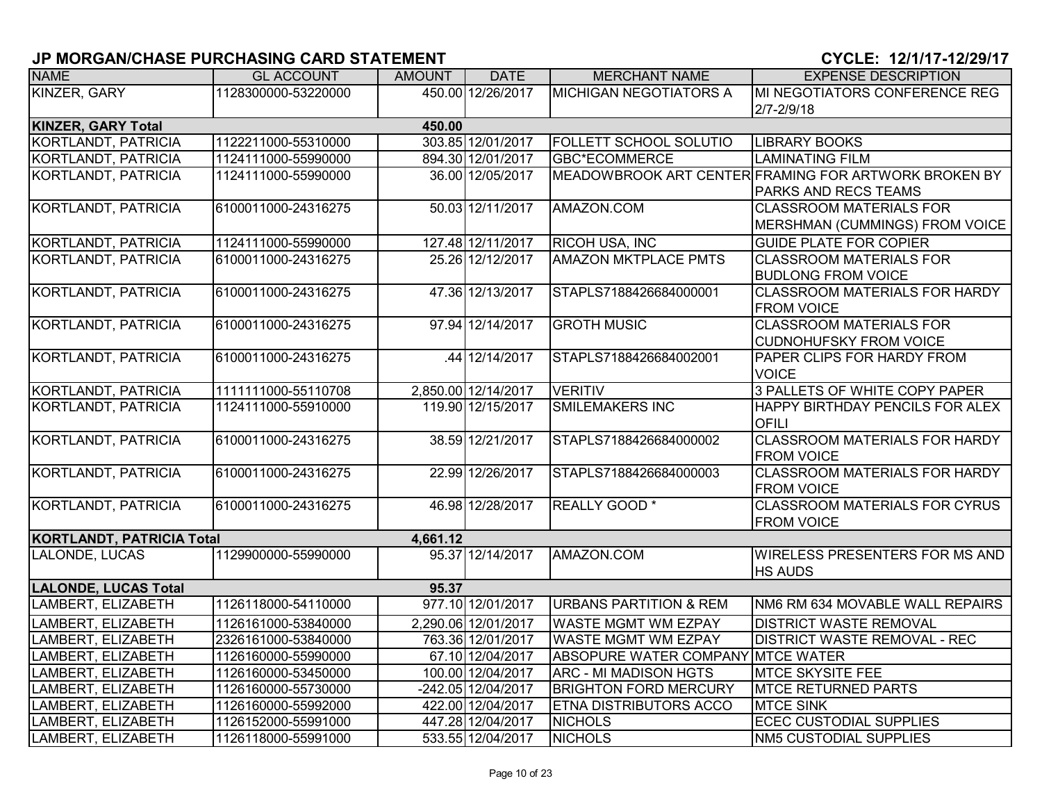| <b>NAME</b>                      | <b>GL ACCOUNT</b>   | <b>AMOUNT</b> | <b>DATE</b>                             | <b>MERCHANT NAME</b>              | <b>EXPENSE DESCRIPTION</b>                           |
|----------------------------------|---------------------|---------------|-----------------------------------------|-----------------------------------|------------------------------------------------------|
| KINZER, GARY                     | 1128300000-53220000 |               | 450.00 12/26/2017                       | <b>MICHIGAN NEGOTIATORS A</b>     | MI NEGOTIATORS CONFERENCE REG                        |
|                                  |                     |               |                                         |                                   | $2/7 - 2/9/18$                                       |
| <b>KINZER, GARY Total</b>        |                     | 450.00        |                                         |                                   |                                                      |
| KORTLANDT, PATRICIA              | 1122211000-55310000 |               | 303.85 12/01/2017                       | FOLLETT SCHOOL SOLUTIO            | <b>LIBRARY BOOKS</b>                                 |
| KORTLANDT, PATRICIA              | 1124111000-55990000 |               | 894.30 12/01/2017                       | <b>GBC*ECOMMERCE</b>              | <b>LAMINATING FILM</b>                               |
| KORTLANDT, PATRICIA              | 1124111000-55990000 |               | 36.00 12/05/2017                        |                                   | MEADOWBROOK ART CENTER FRAMING FOR ARTWORK BROKEN BY |
|                                  |                     |               |                                         |                                   | <b>PARKS AND RECS TEAMS</b>                          |
| KORTLANDT, PATRICIA              | 6100011000-24316275 |               | 50.03 12/11/2017                        | AMAZON.COM                        | <b>CLASSROOM MATERIALS FOR</b>                       |
|                                  |                     |               |                                         |                                   | MERSHMAN (CUMMINGS) FROM VOICE                       |
| KORTLANDT, PATRICIA              | 1124111000-55990000 |               | 127.48 12/11/2017                       | <b>RICOH USA, INC</b>             | <b>GUIDE PLATE FOR COPIER</b>                        |
| KORTLANDT, PATRICIA              | 6100011000-24316275 |               | 25.26 12/12/2017                        | <b>AMAZON MKTPLACE PMTS</b>       | <b>CLASSROOM MATERIALS FOR</b>                       |
|                                  |                     |               |                                         |                                   | <b>BUDLONG FROM VOICE</b>                            |
| KORTLANDT, PATRICIA              | 6100011000-24316275 |               | 47.36 12/13/2017                        | STAPLS7188426684000001            | <b>CLASSROOM MATERIALS FOR HARDY</b>                 |
|                                  |                     |               |                                         |                                   | <b>FROM VOICE</b>                                    |
| KORTLANDT, PATRICIA              | 6100011000-24316275 |               | 97.94 12/14/2017                        | <b>GROTH MUSIC</b>                | <b>CLASSROOM MATERIALS FOR</b>                       |
|                                  |                     |               |                                         |                                   | <b>CUDNOHUFSKY FROM VOICE</b>                        |
| KORTLANDT, PATRICIA              | 6100011000-24316275 |               | 44 12/14/2017                           | STAPLS7188426684002001            | <b>PAPER CLIPS FOR HARDY FROM</b>                    |
|                                  |                     |               |                                         |                                   | <b>VOICE</b>                                         |
| <b>KORTLANDT, PATRICIA</b>       | 1111111000-55110708 |               | 2,850.00 12/14/2017                     | <b>VERITIV</b>                    | 3 PALLETS OF WHITE COPY PAPER                        |
| KORTLANDT, PATRICIA              | 1124111000-55910000 |               | 119.90 12/15/2017                       | <b>SMILEMAKERS INC</b>            | HAPPY BIRTHDAY PENCILS FOR ALEX                      |
|                                  |                     |               |                                         |                                   | OFILI                                                |
| KORTLANDT, PATRICIA              | 6100011000-24316275 |               | 38.59 12/21/2017                        | STAPLS7188426684000002            | <b>CLASSROOM MATERIALS FOR HARDY</b>                 |
|                                  |                     |               |                                         |                                   | <b>FROM VOICE</b>                                    |
| KORTLANDT, PATRICIA              | 6100011000-24316275 |               | 22.99 12/26/2017                        | STAPLS7188426684000003            | <b>CLASSROOM MATERIALS FOR HARDY</b>                 |
|                                  |                     |               |                                         |                                   | <b>FROM VOICE</b>                                    |
| KORTLANDT, PATRICIA              | 6100011000-24316275 |               | 46.98 12/28/2017                        | <b>REALLY GOOD*</b>               | <b>CLASSROOM MATERIALS FOR CYRUS</b>                 |
|                                  |                     |               |                                         |                                   | <b>FROM VOICE</b>                                    |
| <b>KORTLANDT, PATRICIA Total</b> |                     | 4,661.12      | 95.37 12/14/2017                        |                                   | <b>WIRELESS PRESENTERS FOR MS AND</b>                |
| LALONDE, LUCAS                   | 1129900000-55990000 |               |                                         | AMAZON.COM                        | <b>HS AUDS</b>                                       |
| <b>LALONDE, LUCAS Total</b>      |                     | 95.37         |                                         |                                   |                                                      |
| LAMBERT, ELIZABETH               | 1126118000-54110000 |               | 977.10 12/01/2017                       | <b>URBANS PARTITION &amp; REM</b> | NM6 RM 634 MOVABLE WALL REPAIRS                      |
|                                  |                     |               |                                         |                                   |                                                      |
| LAMBERT, ELIZABETH               | 1126161000-53840000 |               | 2,290.06 12/01/2017                     | <b>WASTE MGMT WM EZPAY</b>        | <b>DISTRICT WASTE REMOVAL</b>                        |
| LAMBERT, ELIZABETH               | 2326161000-53840000 |               | 763.36 12/01/2017                       | <b>WASTE MGMT WM EZPAY</b>        | <b>DISTRICT WASTE REMOVAL - REC</b>                  |
| LAMBERT, ELIZABETH               | 1126160000-55990000 |               | 67.10 12/04/2017                        | ABSOPURE WATER COMPANY MTCE WATER |                                                      |
| LAMBERT, ELIZABETH               | 1126160000-53450000 |               | 100.00 12/04/2017                       | <b>ARC - MI MADISON HGTS</b>      | MTCE SKYSITE FEE                                     |
| LAMBERT, ELIZABETH               | 1126160000-55730000 |               | -242.05 12/04/2017<br>422.00 12/04/2017 | <b>BRIGHTON FORD MERCURY</b>      | <b>MTCE RETURNED PARTS</b><br><b>MTCE SINK</b>       |
| LAMBERT, ELIZABETH               | 1126160000-55992000 |               |                                         | <b>ETNA DISTRIBUTORS ACCO</b>     |                                                      |
| LAMBERT, ELIZABETH               | 1126152000-55991000 |               | 447.28 12/04/2017                       | <b>NICHOLS</b>                    | <b>ECEC CUSTODIAL SUPPLIES</b>                       |
| LAMBERT, ELIZABETH               | 1126118000-55991000 |               | 533.55 12/04/2017                       | <b>NICHOLS</b>                    | <b>NM5 CUSTODIAL SUPPLIES</b>                        |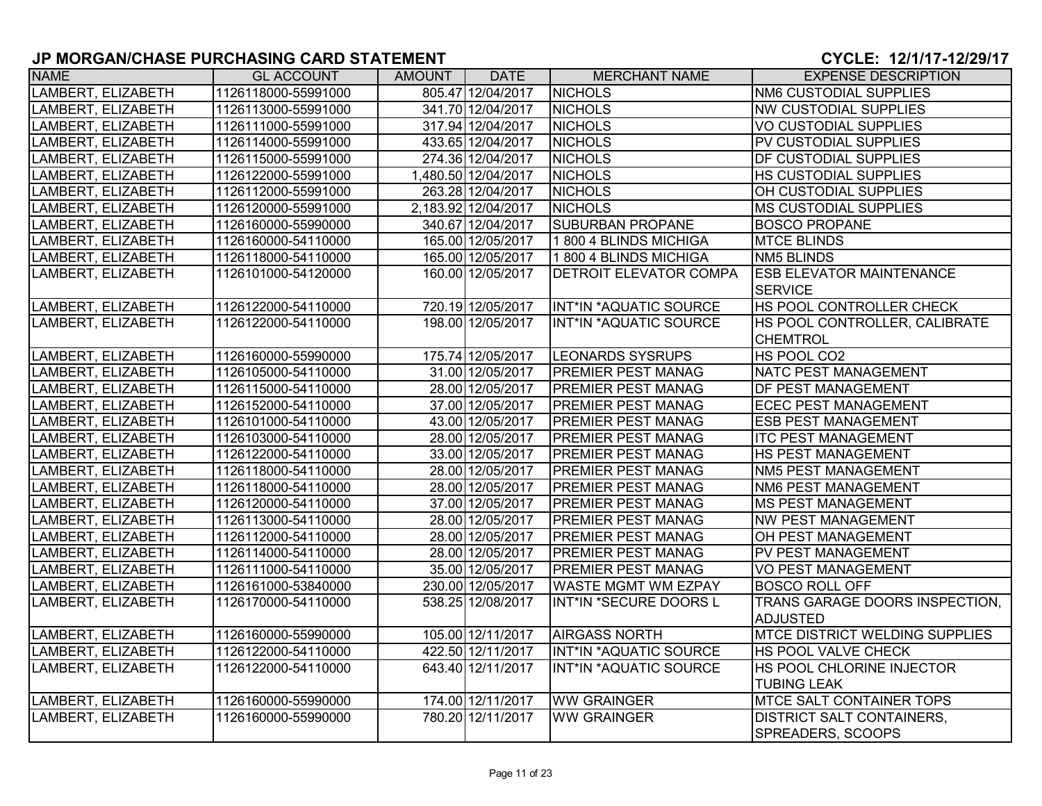| <b>NAME</b>        | <b>GL ACCOUNT</b>   | AMOUNT | <b>DATE</b>         | <b>MERCHANT NAME</b>          | <b>EXPENSE DESCRIPTION</b>            |
|--------------------|---------------------|--------|---------------------|-------------------------------|---------------------------------------|
| LAMBERT, ELIZABETH | 1126118000-55991000 |        | 805.47 12/04/2017   | <b>NICHOLS</b>                | <b>NM6 CUSTODIAL SUPPLIES</b>         |
| LAMBERT, ELIZABETH | 1126113000-55991000 |        | 341.70 12/04/2017   | <b>NICHOLS</b>                | <b>NW CUSTODIAL SUPPLIES</b>          |
| LAMBERT, ELIZABETH | 1126111000-55991000 |        | 317.94 12/04/2017   | <b>NICHOLS</b>                | <b>VO CUSTODIAL SUPPLIES</b>          |
| LAMBERT, ELIZABETH | 1126114000-55991000 |        | 433.65 12/04/2017   | <b>NICHOLS</b>                | <b>PV CUSTODIAL SUPPLIES</b>          |
| LAMBERT, ELIZABETH | 1126115000-55991000 |        | 274.36 12/04/2017   | <b>NICHOLS</b>                | <b>DF CUSTODIAL SUPPLIES</b>          |
| LAMBERT, ELIZABETH | 1126122000-55991000 |        | 1,480.50 12/04/2017 | <b>NICHOLS</b>                | <b>HS CUSTODIAL SUPPLIES</b>          |
| LAMBERT, ELIZABETH | 1126112000-55991000 |        | 263.28 12/04/2017   | <b>NICHOLS</b>                | OH CUSTODIAL SUPPLIES                 |
| LAMBERT, ELIZABETH | 1126120000-55991000 |        | 2,183.92 12/04/2017 | <b>NICHOLS</b>                | <b>MS CUSTODIAL SUPPLIES</b>          |
| LAMBERT, ELIZABETH | 1126160000-55990000 |        | 340.67 12/04/2017   | <b>SUBURBAN PROPANE</b>       | <b>BOSCO PROPANE</b>                  |
| LAMBERT, ELIZABETH | 1126160000-54110000 |        | 165.00 12/05/2017   | 1800 4 BLINDS MICHIGA         | <b>MTCE BLINDS</b>                    |
| LAMBERT, ELIZABETH | 1126118000-54110000 |        | 165.00 12/05/2017   | 1800 4 BLINDS MICHIGA         | <b>NM5 BLINDS</b>                     |
| LAMBERT, ELIZABETH | 1126101000-54120000 |        | 160.00 12/05/2017   | <b>DETROIT ELEVATOR COMPA</b> | <b>ESB ELEVATOR MAINTENANCE</b>       |
|                    |                     |        |                     |                               | <b>SERVICE</b>                        |
| LAMBERT, ELIZABETH | 1126122000-54110000 |        | 720.19 12/05/2017   | INT*IN *AQUATIC SOURCE        | HS POOL CONTROLLER CHECK              |
| LAMBERT, ELIZABETH | 1126122000-54110000 |        | 198.00 12/05/2017   | INT*IN *AQUATIC SOURCE        | HS POOL CONTROLLER, CALIBRATE         |
|                    |                     |        |                     |                               | <b>CHEMTROL</b>                       |
| LAMBERT, ELIZABETH | 1126160000-55990000 |        | 175.74 12/05/2017   | <b>LEONARDS SYSRUPS</b>       | HS POOL CO2                           |
| LAMBERT, ELIZABETH | 1126105000-54110000 |        | 31.00 12/05/2017    | <b>PREMIER PEST MANAG</b>     | NATC PEST MANAGEMENT                  |
| LAMBERT, ELIZABETH | 1126115000-54110000 |        | 28.00 12/05/2017    | <b>PREMIER PEST MANAG</b>     | <b>DF PEST MANAGEMENT</b>             |
| LAMBERT, ELIZABETH | 1126152000-54110000 |        | 37.00 12/05/2017    | <b>PREMIER PEST MANAG</b>     | <b>ECEC PEST MANAGEMENT</b>           |
| LAMBERT, ELIZABETH | 1126101000-54110000 |        | 43.00 12/05/2017    | <b>PREMIER PEST MANAG</b>     | <b>ESB PEST MANAGEMENT</b>            |
| LAMBERT, ELIZABETH | 1126103000-54110000 |        | 28.00 12/05/2017    | <b>PREMIER PEST MANAG</b>     | <b>ITC PEST MANAGEMENT</b>            |
| LAMBERT, ELIZABETH | 1126122000-54110000 |        | 33.00 12/05/2017    | <b>PREMIER PEST MANAG</b>     | <b>HS PEST MANAGEMENT</b>             |
| LAMBERT, ELIZABETH | 1126118000-54110000 |        | 28.00 12/05/2017    | <b>PREMIER PEST MANAG</b>     | NM5 PEST MANAGEMENT                   |
| LAMBERT, ELIZABETH | 1126118000-54110000 |        | 28.00 12/05/2017    | <b>PREMIER PEST MANAG</b>     | NM6 PEST MANAGEMENT                   |
| LAMBERT, ELIZABETH | 1126120000-54110000 |        | 37.00 12/05/2017    | <b>PREMIER PEST MANAG</b>     | <b>MS PEST MANAGEMENT</b>             |
| LAMBERT, ELIZABETH | 1126113000-54110000 |        | 28.00 12/05/2017    | PREMIER PEST MANAG            | <b>NW PEST MANAGEMENT</b>             |
| LAMBERT, ELIZABETH | 1126112000-54110000 |        | 28.00 12/05/2017    | <b>PREMIER PEST MANAG</b>     | OH PEST MANAGEMENT                    |
| LAMBERT, ELIZABETH | 1126114000-54110000 |        | 28.00 12/05/2017    | <b>PREMIER PEST MANAG</b>     | <b>PV PEST MANAGEMENT</b>             |
| LAMBERT, ELIZABETH | 1126111000-54110000 |        | 35.00 12/05/2017    | <b>PREMIER PEST MANAG</b>     | <b>VO PEST MANAGEMENT</b>             |
| LAMBERT, ELIZABETH | 1126161000-53840000 |        | 230.00 12/05/2017   | <b>WASTE MGMT WM EZPAY</b>    | <b>BOSCO ROLL OFF</b>                 |
| LAMBERT, ELIZABETH | 1126170000-54110000 |        | 538.25 12/08/2017   | INT*IN *SECURE DOORS L        | TRANS GARAGE DOORS INSPECTION,        |
|                    |                     |        |                     |                               | <b>ADJUSTED</b>                       |
| LAMBERT, ELIZABETH | 1126160000-55990000 |        | 105.00 12/11/2017   | <b>AIRGASS NORTH</b>          | <b>MTCE DISTRICT WELDING SUPPLIES</b> |
| LAMBERT, ELIZABETH | 1126122000-54110000 |        | 422.50 12/11/2017   | INT*IN *AQUATIC SOURCE        | <b>HS POOL VALVE CHECK</b>            |
| LAMBERT, ELIZABETH | 1126122000-54110000 |        | 643.40 12/11/2017   | INT*IN *AQUATIC SOURCE        | HS POOL CHLORINE INJECTOR             |
|                    |                     |        |                     |                               | <b>TUBING LEAK</b>                    |
| LAMBERT, ELIZABETH | 1126160000-55990000 |        | 174.00 12/11/2017   | <b>WW GRAINGER</b>            | <b>MTCE SALT CONTAINER TOPS</b>       |
| LAMBERT, ELIZABETH | 1126160000-55990000 |        | 780.20 12/11/2017   | <b>WW GRAINGER</b>            | <b>DISTRICT SALT CONTAINERS,</b>      |
|                    |                     |        |                     |                               | SPREADERS, SCOOPS                     |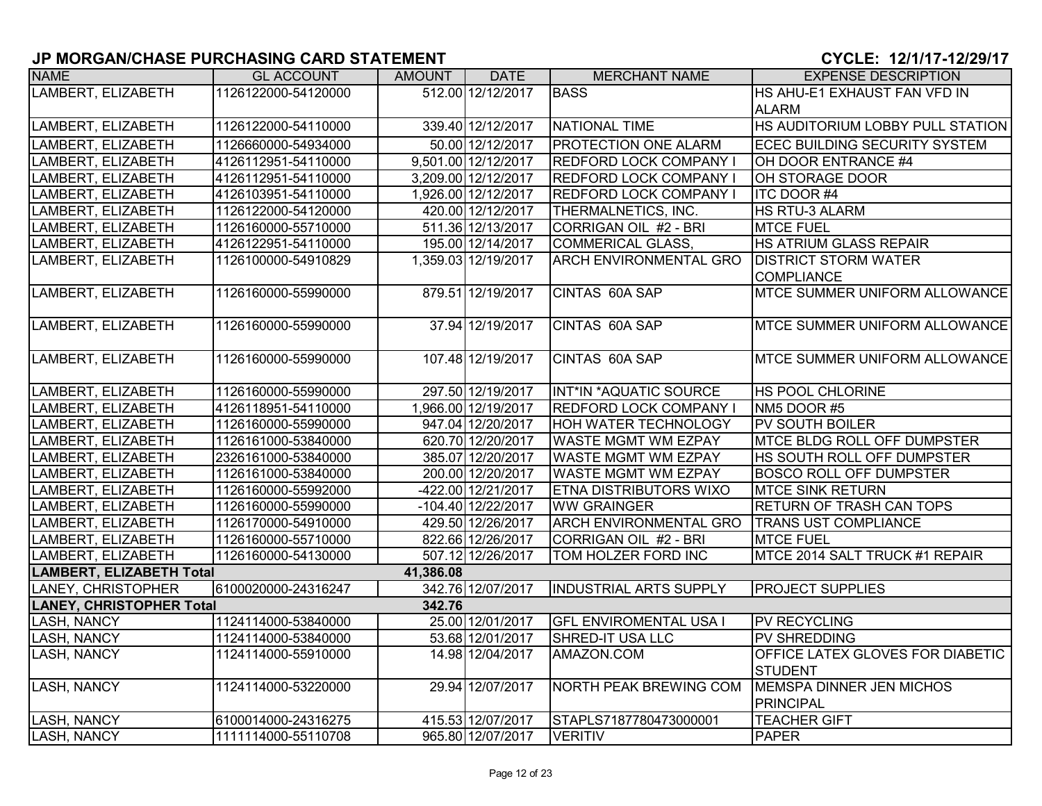| <b>NAME</b>                     | <b>GL ACCOUNT</b>   | AMOUNT    | <b>DATE</b>          | <b>MERCHANT NAME</b>          | <b>EXPENSE DESCRIPTION</b>           |
|---------------------------------|---------------------|-----------|----------------------|-------------------------------|--------------------------------------|
| LAMBERT, ELIZABETH              | 1126122000-54120000 |           | 512.00 12/12/2017    | <b>BASS</b>                   | HS AHU-E1 EXHAUST FAN VFD IN         |
|                                 |                     |           |                      |                               | <b>ALARM</b>                         |
| LAMBERT, ELIZABETH              | 1126122000-54110000 |           | 339.40 12/12/2017    | <b>NATIONAL TIME</b>          | HS AUDITORIUM LOBBY PULL STATION     |
| LAMBERT, ELIZABETH              | 1126660000-54934000 |           | 50.00 12/12/2017     | PROTECTION ONE ALARM          | ECEC BUILDING SECURITY SYSTEM        |
| LAMBERT, ELIZABETH              | 4126112951-54110000 |           | 9,501.00 12/12/2017  | <b>REDFORD LOCK COMPANY I</b> | OH DOOR ENTRANCE #4                  |
| LAMBERT, ELIZABETH              | 4126112951-54110000 |           | 3,209.00 12/12/2017  | REDFORD LOCK COMPANY I        | OH STORAGE DOOR                      |
| LAMBERT, ELIZABETH              | 4126103951-54110000 |           | 1,926.00 12/12/2017  | <b>REDFORD LOCK COMPANY I</b> | ITC DOOR #4                          |
| LAMBERT, ELIZABETH              | 1126122000-54120000 |           | 420.00 12/12/2017    | THERMALNETICS, INC.           | <b>HS RTU-3 ALARM</b>                |
| LAMBERT, ELIZABETH              | 1126160000-55710000 |           | 511.36 12/13/2017    | CORRIGAN OIL #2 - BRI         | <b>MTCE FUEL</b>                     |
| LAMBERT, ELIZABETH              | 4126122951-54110000 |           | 195.00 12/14/2017    | <b>COMMERICAL GLASS,</b>      | <b>HS ATRIUM GLASS REPAIR</b>        |
| LAMBERT, ELIZABETH              | 1126100000-54910829 |           | 1,359.03 12/19/2017  | <b>ARCH ENVIRONMENTAL GRO</b> | <b>DISTRICT STORM WATER</b>          |
|                                 |                     |           |                      |                               | <b>COMPLIANCE</b>                    |
| LAMBERT, ELIZABETH              | 1126160000-55990000 |           | 879.51 12/19/2017    | CINTAS 60A SAP                | <b>MTCE SUMMER UNIFORM ALLOWANCE</b> |
|                                 |                     |           |                      |                               |                                      |
| LAMBERT, ELIZABETH              | 1126160000-55990000 |           | 37.94 12/19/2017     | CINTAS 60A SAP                | <b>MTCE SUMMER UNIFORM ALLOWANCE</b> |
|                                 |                     |           |                      |                               |                                      |
| LAMBERT, ELIZABETH              | 1126160000-55990000 |           | 107.48 12/19/2017    | CINTAS 60A SAP                | <b>MTCE SUMMER UNIFORM ALLOWANCE</b> |
| LAMBERT, ELIZABETH              | 1126160000-55990000 |           | 297.50 12/19/2017    | INT*IN *AQUATIC SOURCE        | <b>HS POOL CHLORINE</b>              |
| LAMBERT, ELIZABETH              | 4126118951-54110000 |           | 1,966.00 12/19/2017  | <b>REDFORD LOCK COMPANY I</b> | NM5 DOOR #5                          |
| LAMBERT, ELIZABETH              | 1126160000-55990000 |           | 947.04 12/20/2017    | <b>HOH WATER TECHNOLOGY</b>   | <b>PV SOUTH BOILER</b>               |
| LAMBERT, ELIZABETH              | 1126161000-53840000 |           | 620.70 12/20/2017    | <b>WASTE MGMT WM EZPAY</b>    | <b>MTCE BLDG ROLL OFF DUMPSTER</b>   |
| LAMBERT, ELIZABETH              | 2326161000-53840000 |           | 385.07 12/20/2017    | <b>WASTE MGMT WM EZPAY</b>    | HS SOUTH ROLL OFF DUMPSTER           |
| LAMBERT, ELIZABETH              | 1126161000-53840000 |           | 200.00 12/20/2017    | WASTE MGMT WM EZPAY           | <b>BOSCO ROLL OFF DUMPSTER</b>       |
| LAMBERT, ELIZABETH              | 1126160000-55992000 |           | -422.00 12/21/2017   | ETNA DISTRIBUTORS WIXO        | <b>MTCE SINK RETURN</b>              |
| LAMBERT, ELIZABETH              | 1126160000-55990000 |           | $-104.40$ 12/22/2017 | <b>WW GRAINGER</b>            | <b>RETURN OF TRASH CAN TOPS</b>      |
| LAMBERT, ELIZABETH              | 1126170000-54910000 |           | 429.50 12/26/2017    | <b>ARCH ENVIRONMENTAL GRO</b> | <b>TRANS UST COMPLIANCE</b>          |
| LAMBERT, ELIZABETH              | 1126160000-55710000 |           | 822.66 12/26/2017    | CORRIGAN OIL #2 - BRI         | <b>MTCE FUEL</b>                     |
| LAMBERT, ELIZABETH              | 1126160000-54130000 |           | 507.12 12/26/2017    | TOM HOLZER FORD INC           | MTCE 2014 SALT TRUCK #1 REPAIR       |
| LAMBERT, ELIZABETH Total        |                     | 41,386.08 |                      |                               |                                      |
| LANEY, CHRISTOPHER              | 6100020000-24316247 |           | 342.76 12/07/2017    | <b>INDUSTRIAL ARTS SUPPLY</b> | <b>PROJECT SUPPLIES</b>              |
| <b>LANEY, CHRISTOPHER Total</b> |                     | 342.76    |                      |                               |                                      |
| LASH, NANCY                     | 1124114000-53840000 |           | 25.00 12/01/2017     | <b>GFL ENVIROMENTAL USA I</b> | <b>PV RECYCLING</b>                  |
| LASH, NANCY                     | 1124114000-53840000 |           | 53.68 12/01/2017     | SHRED-IT USA LLC              | <b>PV SHREDDING</b>                  |
| LASH, NANCY                     | 1124114000-55910000 |           | 14.98 12/04/2017     | AMAZON.COM                    | OFFICE LATEX GLOVES FOR DIABETIC     |
|                                 |                     |           |                      |                               | <b>STUDENT</b>                       |
| <b>LASH, NANCY</b>              | 1124114000-53220000 |           | 29.94 12/07/2017     | <b>NORTH PEAK BREWING COM</b> | <b>MEMSPA DINNER JEN MICHOS</b>      |
|                                 |                     |           |                      |                               | PRINCIPAL                            |
| <b>LASH, NANCY</b>              | 6100014000-24316275 |           | 415.53 12/07/2017    | STAPLS7187780473000001        | <b>TEACHER GIFT</b>                  |
| LASH, NANCY                     | 1111114000-55110708 |           | 965.80 12/07/2017    | <b>VERITIV</b>                | <b>PAPER</b>                         |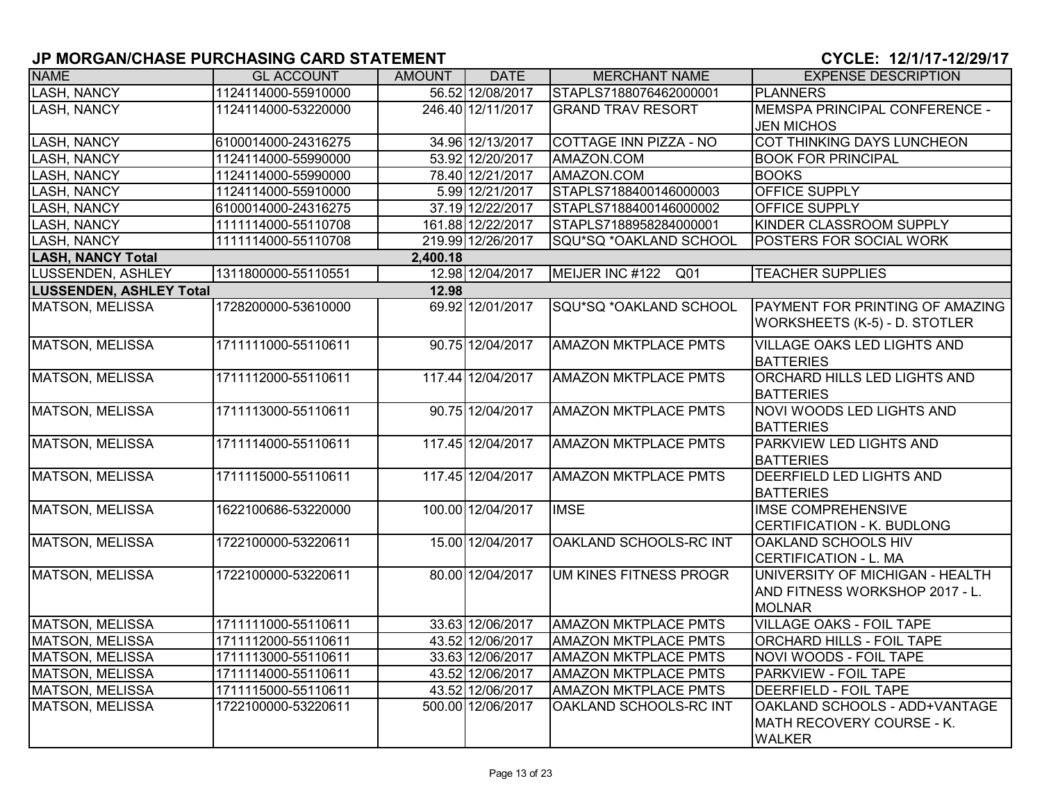| <b>NAME</b>                    | <b>GL ACCOUNT</b>   | AMOUNT   | <b>DATE</b>       | <b>MERCHANT NAME</b>               | <b>EXPENSE DESCRIPTION</b>                                                     |
|--------------------------------|---------------------|----------|-------------------|------------------------------------|--------------------------------------------------------------------------------|
| <b>LASH, NANCY</b>             | 1124114000-55910000 |          | 56.52 12/08/2017  | STAPLS7188076462000001             | <b>PLANNERS</b>                                                                |
| <b>LASH, NANCY</b>             | 1124114000-53220000 |          | 246.40 12/11/2017 | <b>GRAND TRAV RESORT</b>           | MEMSPA PRINCIPAL CONFERENCE -                                                  |
|                                |                     |          |                   |                                    | <b>JEN MICHOS</b>                                                              |
| <b>LASH, NANCY</b>             | 6100014000-24316275 |          | 34.96 12/13/2017  | <b>COTTAGE INN PIZZA - NO</b>      | COT THINKING DAYS LUNCHEON                                                     |
| <b>LASH, NANCY</b>             | 1124114000-55990000 |          | 53.92 12/20/2017  | AMAZON.COM                         | <b>BOOK FOR PRINCIPAL</b>                                                      |
| <b>LASH, NANCY</b>             | 1124114000-55990000 |          | 78.40 12/21/2017  | AMAZON.COM                         | <b>BOOKS</b>                                                                   |
| <b>LASH, NANCY</b>             | 1124114000-55910000 |          | 5.99 12/21/2017   | STAPLS7188400146000003             | <b>OFFICE SUPPLY</b>                                                           |
| <b>LASH, NANCY</b>             | 6100014000-24316275 |          | 37.19 12/22/2017  | STAPLS7188400146000002             | <b>OFFICE SUPPLY</b>                                                           |
| <b>LASH, NANCY</b>             | 1111114000-55110708 |          | 161.88 12/22/2017 | STAPLS7188958284000001             | KINDER CLASSROOM SUPPLY                                                        |
| <b>LASH, NANCY</b>             | 1111114000-55110708 |          | 219.99 12/26/2017 | SQU*SQ *OAKLAND SCHOOL             | <b>POSTERS FOR SOCIAL WORK</b>                                                 |
| <b>LASH, NANCY Total</b>       |                     | 2,400.18 |                   |                                    |                                                                                |
| LUSSENDEN, ASHLEY              | 1311800000-55110551 |          | 12.98 12/04/2017  | MEIJER INC #122<br>Q <sub>01</sub> | <b>TEACHER SUPPLIES</b>                                                        |
| <b>LUSSENDEN, ASHLEY Total</b> |                     | 12.98    |                   |                                    |                                                                                |
| MATSON, MELISSA                | 1728200000-53610000 |          | 69.92 12/01/2017  | SQU*SQ *OAKLAND SCHOOL             | <b>PAYMENT FOR PRINTING OF AMAZING</b><br><b>WORKSHEETS (K-5) - D. STOTLER</b> |
|                                |                     |          |                   |                                    |                                                                                |
| MATSON, MELISSA                | 1711111000-55110611 |          | 90.75 12/04/2017  | <b>AMAZON MKTPLACE PMTS</b>        | <b>VILLAGE OAKS LED LIGHTS AND</b>                                             |
|                                |                     |          |                   |                                    | <b>BATTERIES</b>                                                               |
| <b>MATSON, MELISSA</b>         | 1711112000-55110611 |          | 117.44 12/04/2017 | <b>AMAZON MKTPLACE PMTS</b>        | ORCHARD HILLS LED LIGHTS AND                                                   |
| <b>MATSON, MELISSA</b>         | 1711113000-55110611 |          | 90.75 12/04/2017  | <b>AMAZON MKTPLACE PMTS</b>        | <b>BATTERIES</b><br>NOVI WOODS LED LIGHTS AND                                  |
|                                |                     |          |                   |                                    |                                                                                |
| <b>MATSON, MELISSA</b>         | 1711114000-55110611 |          | 117.45 12/04/2017 | <b>AMAZON MKTPLACE PMTS</b>        | <b>BATTERIES</b><br><b>PARKVIEW LED LIGHTS AND</b>                             |
|                                |                     |          |                   |                                    | <b>BATTERIES</b>                                                               |
| <b>MATSON, MELISSA</b>         | 1711115000-55110611 |          | 117.45 12/04/2017 | <b>AMAZON MKTPLACE PMTS</b>        | <b>DEERFIELD LED LIGHTS AND</b>                                                |
|                                |                     |          |                   |                                    | <b>BATTERIES</b>                                                               |
| <b>MATSON, MELISSA</b>         | 1622100686-53220000 |          | 100.00 12/04/2017 | <b>IMSE</b>                        | <b>IMSE COMPREHENSIVE</b>                                                      |
|                                |                     |          |                   |                                    | CERTIFICATION - K. BUDLONG                                                     |
| <b>MATSON, MELISSA</b>         | 1722100000-53220611 |          | 15.00 12/04/2017  | OAKLAND SCHOOLS-RC INT             | <b>OAKLAND SCHOOLS HIV</b><br>CERTIFICATION - L. MA                            |
| <b>MATSON, MELISSA</b>         | 1722100000-53220611 |          | 80.00 12/04/2017  | UM KINES FITNESS PROGR             | UNIVERSITY OF MICHIGAN - HEALTH                                                |
|                                |                     |          |                   |                                    | AND FITNESS WORKSHOP 2017 - L.                                                 |
|                                |                     |          |                   |                                    | <b>MOLNAR</b>                                                                  |
| <b>MATSON, MELISSA</b>         | 1711111000-55110611 |          | 33.63 12/06/2017  | <b>AMAZON MKTPLACE PMTS</b>        | <b>VILLAGE OAKS - FOIL TAPE</b>                                                |
| MATSON, MELISSA                | 1711112000-55110611 |          | 43.52 12/06/2017  | <b>AMAZON MKTPLACE PMTS</b>        | <b>ORCHARD HILLS - FOIL TAPE</b>                                               |
| <b>MATSON, MELISSA</b>         | 1711113000-55110611 |          | 33.63 12/06/2017  | <b>AMAZON MKTPLACE PMTS</b>        | <b>NOVI WOODS - FOIL TAPE</b>                                                  |
| MATSON, MELISSA                | 1711114000-55110611 |          | 43.52 12/06/2017  | <b>AMAZON MKTPLACE PMTS</b>        | <b>PARKVIEW - FOIL TAPE</b>                                                    |
| MATSON, MELISSA                | 1711115000-55110611 |          | 43.52 12/06/2017  | <b>AMAZON MKTPLACE PMTS</b>        | <b>DEERFIELD - FOIL TAPE</b>                                                   |
| MATSON, MELISSA                | 1722100000-53220611 |          | 500.00 12/06/2017 | OAKLAND SCHOOLS-RC INT             | OAKLAND SCHOOLS - ADD+VANTAGE                                                  |
|                                |                     |          |                   |                                    | MATH RECOVERY COURSE - K.                                                      |
|                                |                     |          |                   |                                    | <b>WALKER</b>                                                                  |
|                                |                     |          |                   |                                    |                                                                                |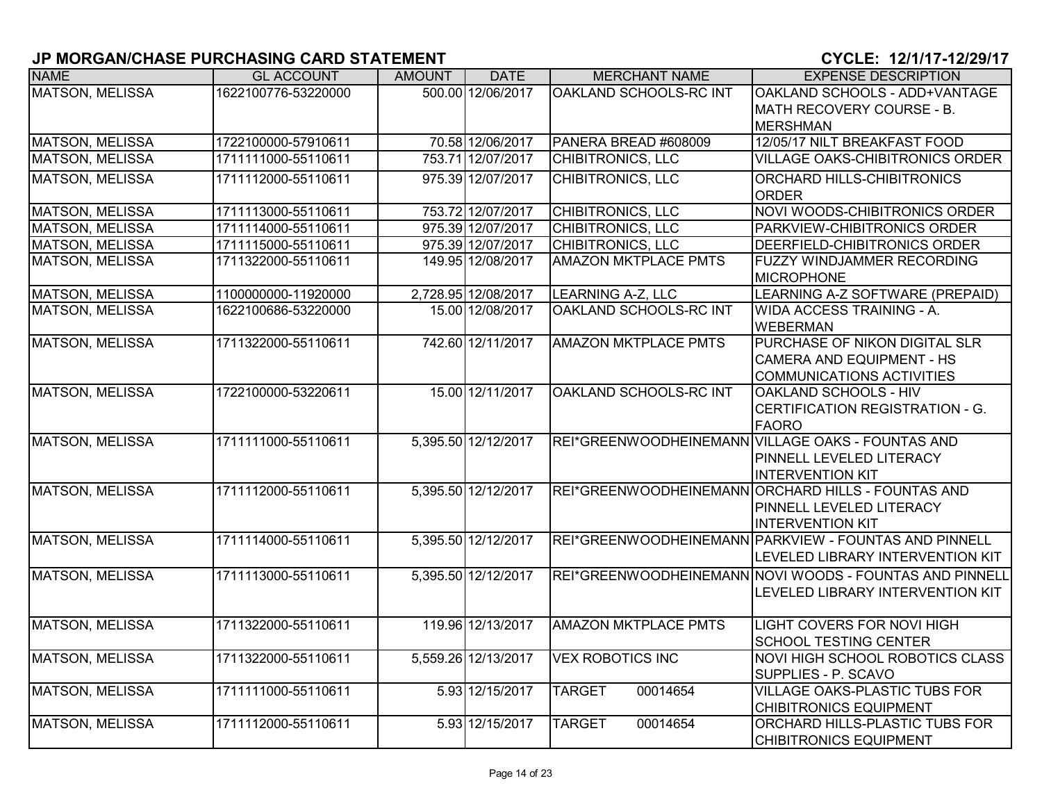| <b>NAME</b>            | <b>GL ACCOUNT</b>   | <b>AMOUNT</b> | <b>DATE</b>         | <b>MERCHANT NAME</b>        | <b>EXPENSE DESCRIPTION</b>                              |
|------------------------|---------------------|---------------|---------------------|-----------------------------|---------------------------------------------------------|
| <b>MATSON, MELISSA</b> | 1622100776-53220000 |               | 500.00 12/06/2017   | OAKLAND SCHOOLS-RC INT      | OAKLAND SCHOOLS - ADD+VANTAGE                           |
|                        |                     |               |                     |                             | MATH RECOVERY COURSE - B.                               |
|                        |                     |               |                     |                             | <b>MERSHMAN</b>                                         |
| <b>MATSON, MELISSA</b> | 1722100000-57910611 |               | 70.58 12/06/2017    | PANERA BREAD #608009        | 12/05/17 NILT BREAKFAST FOOD                            |
| <b>MATSON, MELISSA</b> | 1711111000-55110611 |               | 753.71 12/07/2017   | <b>CHIBITRONICS, LLC</b>    | <b>VILLAGE OAKS-CHIBITRONICS ORDER</b>                  |
| <b>MATSON, MELISSA</b> | 1711112000-55110611 |               | 975.39 12/07/2017   | <b>CHIBITRONICS, LLC</b>    | ORCHARD HILLS-CHIBITRONICS                              |
|                        |                     |               |                     |                             | <b>ORDER</b>                                            |
| <b>MATSON, MELISSA</b> | 1711113000-55110611 |               | 753.72 12/07/2017   | <b>CHIBITRONICS, LLC</b>    | NOVI WOODS-CHIBITRONICS ORDER                           |
| <b>MATSON, MELISSA</b> | 1711114000-55110611 |               | 975.39 12/07/2017   | <b>CHIBITRONICS, LLC</b>    | PARKVIEW-CHIBITRONICS ORDER                             |
| MATSON, MELISSA        | 1711115000-55110611 |               | 975.39 12/07/2017   | CHIBITRONICS, LLC           | DEERFIELD-CHIBITRONICS ORDER                            |
| <b>MATSON, MELISSA</b> | 1711322000-55110611 |               | 149.95 12/08/2017   | <b>AMAZON MKTPLACE PMTS</b> | FUZZY WINDJAMMER RECORDING                              |
|                        |                     |               |                     |                             | <b>MICROPHONE</b>                                       |
| <b>MATSON, MELISSA</b> | 1100000000-11920000 |               | 2,728.95 12/08/2017 | <b>LEARNING A-Z, LLC</b>    | LEARNING A-Z SOFTWARE (PREPAID)                         |
| <b>MATSON, MELISSA</b> | 1622100686-53220000 |               | 15.00 12/08/2017    | OAKLAND SCHOOLS-RC INT      | <b>WIDA ACCESS TRAINING - A.</b>                        |
|                        |                     |               |                     |                             | <b>WEBERMAN</b>                                         |
| <b>MATSON, MELISSA</b> | 1711322000-55110611 |               | 742.60 12/11/2017   | <b>AMAZON MKTPLACE PMTS</b> | PURCHASE OF NIKON DIGITAL SLR                           |
|                        |                     |               |                     |                             | CAMERA AND EQUIPMENT - HS                               |
|                        |                     |               |                     |                             | <b>COMMUNICATIONS ACTIVITIES</b>                        |
| <b>MATSON, MELISSA</b> | 1722100000-53220611 |               | 15.00 12/11/2017    | OAKLAND SCHOOLS-RC INT      | <b>OAKLAND SCHOOLS - HIV</b>                            |
|                        |                     |               |                     |                             | CERTIFICATION REGISTRATION - G.                         |
|                        |                     |               |                     |                             | <b>FAORO</b>                                            |
| MATSON, MELISSA        | 1711111000-55110611 |               | 5,395.50 12/12/2017 |                             | REI*GREENWOODHEINEMANN VILLAGE OAKS - FOUNTAS AND       |
|                        |                     |               |                     |                             | PINNELL LEVELED LITERACY                                |
|                        |                     |               |                     |                             | <b>INTERVENTION KIT</b>                                 |
| MATSON, MELISSA        | 1711112000-55110611 |               | 5,395.50 12/12/2017 |                             | REI*GREENWOODHEINEMANN ORCHARD HILLS - FOUNTAS AND      |
|                        |                     |               |                     |                             | <b>PINNELL LEVELED LITERACY</b>                         |
|                        |                     |               |                     |                             | <b>INTERVENTION KIT</b>                                 |
| <b>MATSON, MELISSA</b> | 1711114000-55110611 |               | 5,395.50 12/12/2017 |                             | REI*GREENWOODHEINEMANN PARKVIEW - FOUNTAS AND PINNELL   |
|                        |                     |               |                     |                             | LEVELED LIBRARY INTERVENTION KIT                        |
| MATSON, MELISSA        | 1711113000-55110611 |               | 5,395.50 12/12/2017 |                             | REI*GREENWOODHEINEMANN NOVI WOODS - FOUNTAS AND PINNELL |
|                        |                     |               |                     |                             | LEVELED LIBRARY INTERVENTION KIT                        |
|                        |                     |               |                     |                             |                                                         |
| <b>MATSON, MELISSA</b> | 1711322000-55110611 |               | 119.96 12/13/2017   | <b>AMAZON MKTPLACE PMTS</b> | LIGHT COVERS FOR NOVI HIGH                              |
|                        |                     |               |                     |                             | <b>SCHOOL TESTING CENTER</b>                            |
| <b>MATSON, MELISSA</b> | 1711322000-55110611 |               | 5,559.26 12/13/2017 | <b>VEX ROBOTICS INC</b>     | NOVI HIGH SCHOOL ROBOTICS CLASS                         |
|                        |                     |               |                     |                             | SUPPLIES - P. SCAVO                                     |
| <b>MATSON, MELISSA</b> | 1711111000-55110611 |               | 5.93 12/15/2017     | 00014654<br><b>TARGET</b>   | <b>VILLAGE OAKS-PLASTIC TUBS FOR</b>                    |
|                        |                     |               |                     |                             | <b>CHIBITRONICS EQUIPMENT</b>                           |
| <b>MATSON, MELISSA</b> | 1711112000-55110611 |               | 5.93 12/15/2017     | 00014654<br><b>TARGET</b>   | <b>ORCHARD HILLS-PLASTIC TUBS FOR</b>                   |
|                        |                     |               |                     |                             | <b>CHIBITRONICS EQUIPMENT</b>                           |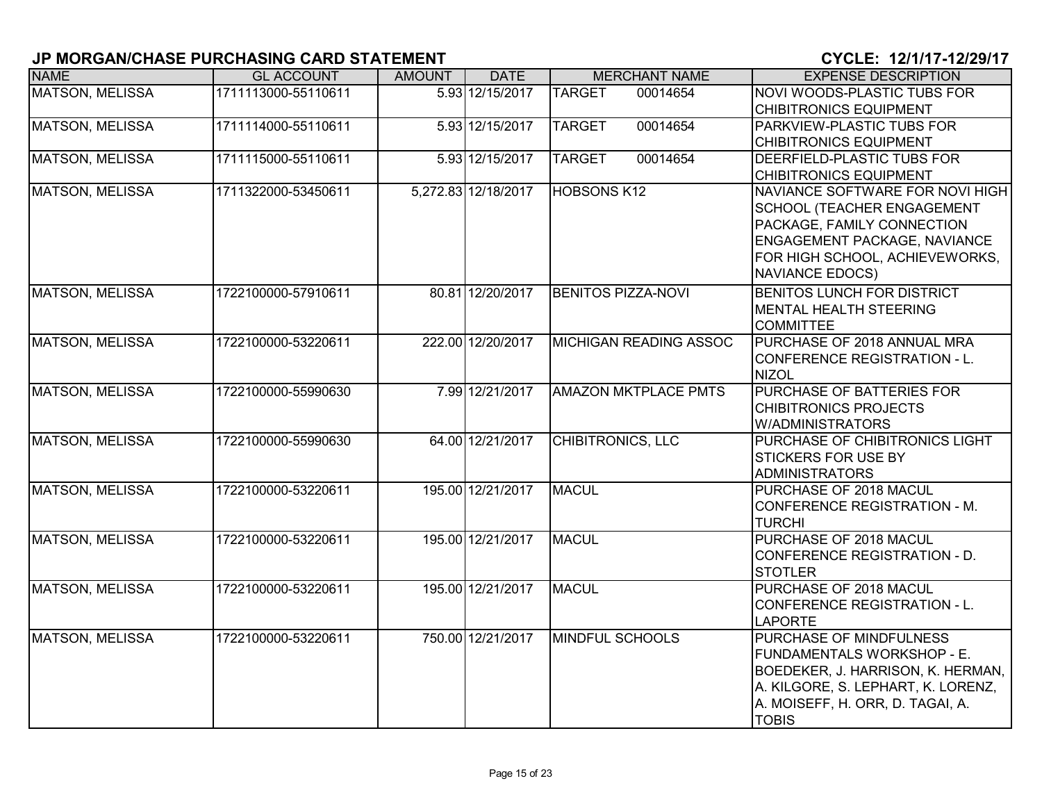| <b>NAME</b>            | <b>GL ACCOUNT</b>   | <b>AMOUNT</b> | <b>DATE</b>         | <b>MERCHANT NAME</b>          | <b>EXPENSE DESCRIPTION</b>                                                                                                                                                                     |
|------------------------|---------------------|---------------|---------------------|-------------------------------|------------------------------------------------------------------------------------------------------------------------------------------------------------------------------------------------|
| <b>MATSON, MELISSA</b> | 1711113000-55110611 |               | 5.93 12/15/2017     | <b>TARGET</b><br>00014654     | NOVI WOODS-PLASTIC TUBS FOR<br><b>CHIBITRONICS EQUIPMENT</b>                                                                                                                                   |
| <b>MATSON, MELISSA</b> | 1711114000-55110611 |               | 5.93 12/15/2017     | <b>TARGET</b><br>00014654     | PARKVIEW-PLASTIC TUBS FOR<br><b>CHIBITRONICS EQUIPMENT</b>                                                                                                                                     |
| <b>MATSON, MELISSA</b> | 1711115000-55110611 |               | 5.93 12/15/2017     | 00014654<br><b>TARGET</b>     | DEERFIELD-PLASTIC TUBS FOR<br><b>CHIBITRONICS EQUIPMENT</b>                                                                                                                                    |
| <b>MATSON, MELISSA</b> | 1711322000-53450611 |               | 5,272.83 12/18/2017 | <b>HOBSONS K12</b>            | NAVIANCE SOFTWARE FOR NOVI HIGH<br><b>SCHOOL (TEACHER ENGAGEMENT</b><br>PACKAGE, FAMILY CONNECTION<br>ENGAGEMENT PACKAGE, NAVIANCE<br>FOR HIGH SCHOOL, ACHIEVEWORKS,<br><b>NAVIANCE EDOCS)</b> |
| MATSON, MELISSA        | 1722100000-57910611 |               | 80.81 12/20/2017    | <b>BENITOS PIZZA-NOVI</b>     | <b>BENITOS LUNCH FOR DISTRICT</b><br>MENTAL HEALTH STEERING<br><b>COMMITTEE</b>                                                                                                                |
| <b>MATSON, MELISSA</b> | 1722100000-53220611 |               | 222.00 12/20/2017   | <b>MICHIGAN READING ASSOC</b> | PURCHASE OF 2018 ANNUAL MRA<br>CONFERENCE REGISTRATION - L.<br><b>NIZOL</b>                                                                                                                    |
| <b>MATSON, MELISSA</b> | 1722100000-55990630 |               | 7.99 12/21/2017     | <b>AMAZON MKTPLACE PMTS</b>   | PURCHASE OF BATTERIES FOR<br><b>CHIBITRONICS PROJECTS</b><br>W/ADMINISTRATORS                                                                                                                  |
| <b>MATSON, MELISSA</b> | 1722100000-55990630 |               | 64.00 12/21/2017    | <b>CHIBITRONICS, LLC</b>      | PURCHASE OF CHIBITRONICS LIGHT<br><b>STICKERS FOR USE BY</b><br><b>ADMINISTRATORS</b>                                                                                                          |
| <b>MATSON, MELISSA</b> | 1722100000-53220611 |               | 195.00 12/21/2017   | <b>MACUL</b>                  | PURCHASE OF 2018 MACUL<br>CONFERENCE REGISTRATION - M.<br><b>TURCHI</b>                                                                                                                        |
| <b>MATSON, MELISSA</b> | 1722100000-53220611 |               | 195.00 12/21/2017   | <b>MACUL</b>                  | PURCHASE OF 2018 MACUL<br>CONFERENCE REGISTRATION - D.<br><b>STOTLER</b>                                                                                                                       |
| MATSON, MELISSA        | 1722100000-53220611 |               | 195.00 12/21/2017   | <b>MACUL</b>                  | PURCHASE OF 2018 MACUL<br><b>CONFERENCE REGISTRATION - L.</b><br><b>LAPORTE</b>                                                                                                                |
| <b>MATSON, MELISSA</b> | 1722100000-53220611 |               | 750.00 12/21/2017   | <b>MINDFUL SCHOOLS</b>        | <b>PURCHASE OF MINDFULNESS</b><br>FUNDAMENTALS WORKSHOP - E.<br>BOEDEKER, J. HARRISON, K. HERMAN,<br>A. KILGORE, S. LEPHART, K. LORENZ,<br>A. MOISEFF, H. ORR, D. TAGAI, A.<br><b>TOBIS</b>    |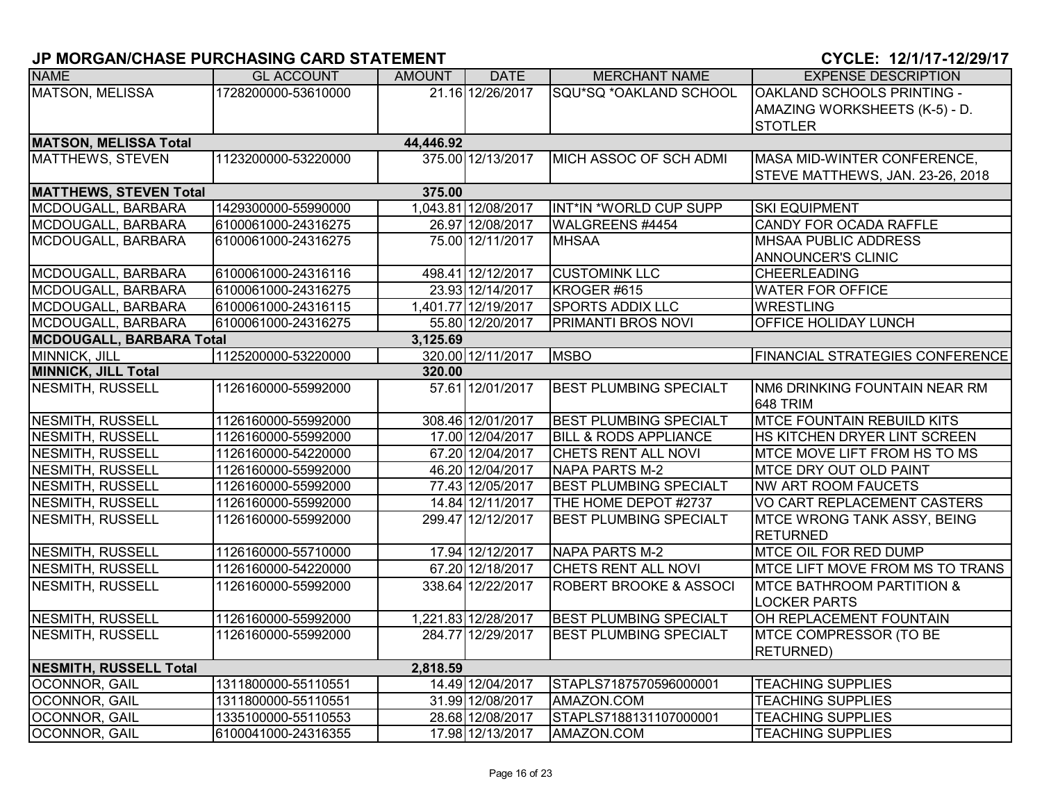| <b>NAME</b>                               | <b>GL ACCOUNT</b>   | AMOUNT   | <b>DATE</b>         | <b>MERCHANT NAME</b>              | <b>EXPENSE DESCRIPTION</b>                        |  |  |  |
|-------------------------------------------|---------------------|----------|---------------------|-----------------------------------|---------------------------------------------------|--|--|--|
| <b>MATSON, MELISSA</b>                    | 1728200000-53610000 |          | 21.16 12/26/2017    | SQU*SQ *OAKLAND SCHOOL            | <b>OAKLAND SCHOOLS PRINTING -</b>                 |  |  |  |
|                                           |                     |          |                     |                                   | AMAZING WORKSHEETS (K-5) - D.                     |  |  |  |
|                                           |                     |          |                     |                                   | <b>STOTLER</b>                                    |  |  |  |
| <b>MATSON, MELISSA Total</b><br>44,446.92 |                     |          |                     |                                   |                                                   |  |  |  |
| MATTHEWS, STEVEN                          | 1123200000-53220000 |          | 375.00 12/13/2017   | MICH ASSOC OF SCH ADMI            | MASA MID-WINTER CONFERENCE,                       |  |  |  |
|                                           |                     |          |                     |                                   | STEVE MATTHEWS, JAN. 23-26, 2018                  |  |  |  |
| <b>MATTHEWS, STEVEN Total</b>             |                     | 375.00   |                     |                                   |                                                   |  |  |  |
| MCDOUGALL, BARBARA                        | 1429300000-55990000 |          | 1,043.81 12/08/2017 | INT*IN *WORLD CUP SUPP            | <b>SKI EQUIPMENT</b>                              |  |  |  |
| MCDOUGALL, BARBARA                        | 6100061000-24316275 |          | 26.97 12/08/2017    | WALGREENS #4454                   | CANDY FOR OCADA RAFFLE                            |  |  |  |
| MCDOUGALL, BARBARA                        | 6100061000-24316275 |          | 75.00 12/11/2017    | <b>MHSAA</b>                      | <b>MHSAA PUBLIC ADDRESS</b>                       |  |  |  |
|                                           |                     |          |                     |                                   | <b>ANNOUNCER'S CLINIC</b>                         |  |  |  |
| MCDOUGALL, BARBARA                        | 6100061000-24316116 |          | 498.41 12/12/2017   | <b>CUSTOMINK LLC</b>              | <b>CHEERLEADING</b>                               |  |  |  |
| MCDOUGALL, BARBARA                        | 6100061000-24316275 |          | 23.93 12/14/2017    | KROGER #615                       | <b>WATER FOR OFFICE</b>                           |  |  |  |
| MCDOUGALL, BARBARA                        | 6100061000-24316115 |          | 1,401.77 12/19/2017 | <b>SPORTS ADDIX LLC</b>           | <b>WRESTLING</b>                                  |  |  |  |
| MCDOUGALL, BARBARA                        | 6100061000-24316275 |          | 55.80 12/20/2017    | <b>PRIMANTI BROS NOVI</b>         | <b>OFFICE HOLIDAY LUNCH</b>                       |  |  |  |
| <b>MCDOUGALL, BARBARA Total</b>           |                     | 3,125.69 |                     |                                   |                                                   |  |  |  |
| MINNICK, JILL                             | 1125200000-53220000 |          | 320.00 12/11/2017   | <b>MSBO</b>                       | <b>FINANCIAL STRATEGIES CONFERENCE</b>            |  |  |  |
| <b>MINNICK, JILL Total</b>                |                     | 320.00   |                     |                                   |                                                   |  |  |  |
| <b>NESMITH, RUSSELL</b>                   | 1126160000-55992000 |          | 57.61 12/01/2017    | <b>BEST PLUMBING SPECIALT</b>     | <b>INM6 DRINKING FOUNTAIN NEAR RM</b><br>648 TRIM |  |  |  |
| NESMITH, RUSSELL                          | 1126160000-55992000 |          | 308.46 12/01/2017   | <b>BEST PLUMBING SPECIALT</b>     | <b>MTCE FOUNTAIN REBUILD KITS</b>                 |  |  |  |
| <b>NESMITH, RUSSELL</b>                   | 1126160000-55992000 |          | 17.00 12/04/2017    | <b>BILL &amp; RODS APPLIANCE</b>  | HS KITCHEN DRYER LINT SCREEN                      |  |  |  |
| <b>NESMITH, RUSSELL</b>                   | 1126160000-54220000 |          | 67.20 12/04/2017    | CHETS RENT ALL NOVI               | MTCE MOVE LIFT FROM HS TO MS                      |  |  |  |
| NESMITH, RUSSELL                          | 1126160000-55992000 |          | 46.20 12/04/2017    | NAPA PARTS M-2                    | <b>MTCE DRY OUT OLD PAINT</b>                     |  |  |  |
| <b>NESMITH, RUSSELL</b>                   | 1126160000-55992000 |          | 77.43 12/05/2017    | <b>BEST PLUMBING SPECIALT</b>     | <b>NW ART ROOM FAUCETS</b>                        |  |  |  |
| <b>NESMITH, RUSSELL</b>                   | 1126160000-55992000 |          | 14.84 12/11/2017    | THE HOME DEPOT #2737              | VO CART REPLACEMENT CASTERS                       |  |  |  |
| <b>NESMITH, RUSSELL</b>                   | 1126160000-55992000 |          | 299.47 12/12/2017   | <b>BEST PLUMBING SPECIALT</b>     | <b>MTCE WRONG TANK ASSY, BEING</b>                |  |  |  |
|                                           |                     |          |                     |                                   | <b>RETURNED</b>                                   |  |  |  |
| <b>NESMITH, RUSSELL</b>                   | 1126160000-55710000 |          | 17.94 12/12/2017    | <b>NAPA PARTS M-2</b>             | <b>MTCE OIL FOR RED DUMP</b>                      |  |  |  |
| NESMITH, RUSSELL                          | 1126160000-54220000 |          | 67.20 12/18/2017    | CHETS RENT ALL NOVI               | MTCE LIFT MOVE FROM MS TO TRANS                   |  |  |  |
| <b>NESMITH, RUSSELL</b>                   | 1126160000-55992000 |          | 338.64 12/22/2017   | <b>ROBERT BROOKE &amp; ASSOCI</b> | <b>MTCE BATHROOM PARTITION &amp;</b>              |  |  |  |
|                                           |                     |          |                     |                                   | <b>LOCKER PARTS</b>                               |  |  |  |
| <b>NESMITH, RUSSELL</b>                   | 1126160000-55992000 |          | 1,221.83 12/28/2017 | <b>BEST PLUMBING SPECIALT</b>     | OH REPLACEMENT FOUNTAIN                           |  |  |  |
| NESMITH, RUSSELL                          | 1126160000-55992000 |          | 284.77 12/29/2017   | <b>BEST PLUMBING SPECIALT</b>     | <b>MTCE COMPRESSOR (TO BE</b>                     |  |  |  |
|                                           |                     |          |                     |                                   | <b>RETURNED)</b>                                  |  |  |  |
| <b>NESMITH, RUSSELL Total</b>             |                     | 2,818.59 |                     |                                   |                                                   |  |  |  |
| OCONNOR, GAIL                             | 1311800000-55110551 |          | 14.49 12/04/2017    | STAPLS7187570596000001            | <b>TEACHING SUPPLIES</b>                          |  |  |  |
| OCONNOR, GAIL                             | 1311800000-55110551 |          | 31.99 12/08/2017    | AMAZON.COM                        | <b>TEACHING SUPPLIES</b>                          |  |  |  |
| OCONNOR, GAIL                             | 1335100000-55110553 |          | 28.68 12/08/2017    | STAPLS7188131107000001            | <b>TEACHING SUPPLIES</b>                          |  |  |  |
| OCONNOR, GAIL                             | 6100041000-24316355 |          | 17.98 12/13/2017    | AMAZON.COM                        | <b>TEACHING SUPPLIES</b>                          |  |  |  |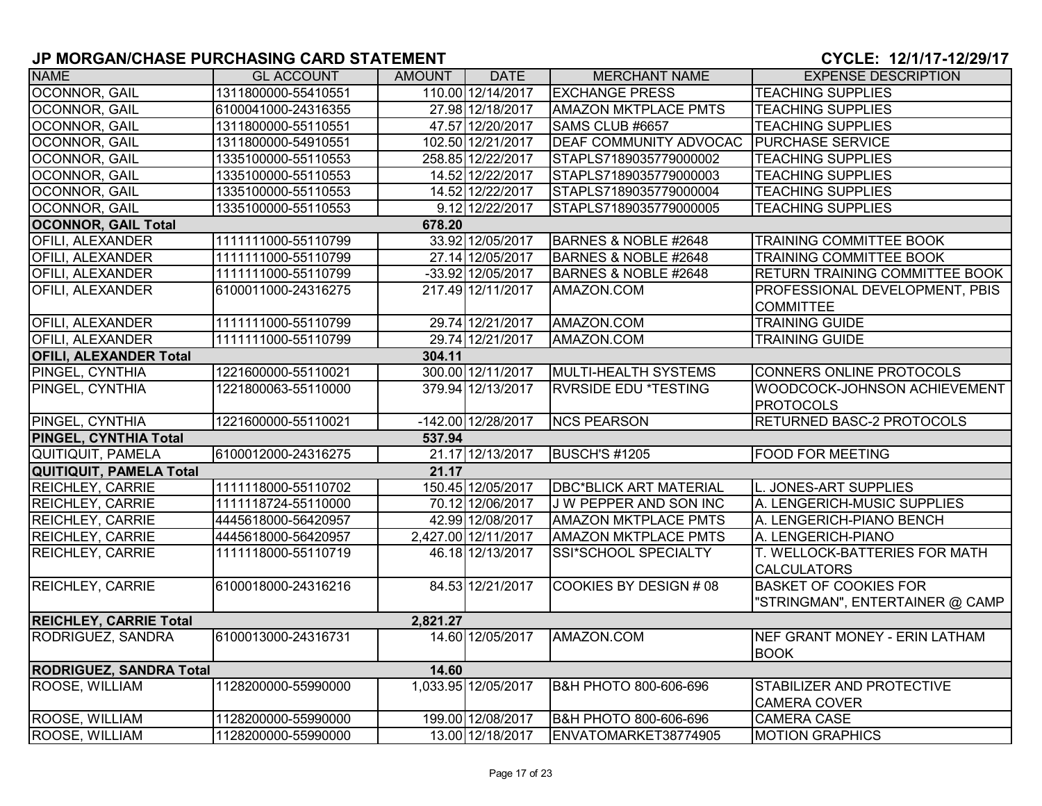| <b>NAME</b>                          | <b>GL ACCOUNT</b>   | <b>AMOUNT</b> | <b>DATE</b>         | <b>MERCHANT NAME</b>          | <b>EXPENSE DESCRIPTION</b>            |  |  |  |  |
|--------------------------------------|---------------------|---------------|---------------------|-------------------------------|---------------------------------------|--|--|--|--|
| <b>OCONNOR, GAIL</b>                 | 1311800000-55410551 |               | 110.00 12/14/2017   | <b>EXCHANGE PRESS</b>         | <b>TEACHING SUPPLIES</b>              |  |  |  |  |
| OCONNOR, GAIL                        | 6100041000-24316355 |               | 27.98 12/18/2017    | <b>AMAZON MKTPLACE PMTS</b>   | <b>TEACHING SUPPLIES</b>              |  |  |  |  |
| OCONNOR, GAIL                        | 1311800000-55110551 |               | 47.57 12/20/2017    | SAMS CLUB #6657               | <b>TEACHING SUPPLIES</b>              |  |  |  |  |
| OCONNOR, GAIL                        | 1311800000-54910551 |               | 102.50 12/21/2017   | <b>DEAF COMMUNITY ADVOCAC</b> | <b>PURCHASE SERVICE</b>               |  |  |  |  |
| OCONNOR, GAIL                        | 1335100000-55110553 |               | 258.85 12/22/2017   | STAPLS7189035779000002        | <b>TEACHING SUPPLIES</b>              |  |  |  |  |
| OCONNOR, GAIL                        | 1335100000-55110553 |               | 14.52 12/22/2017    | STAPLS7189035779000003        | <b>TEACHING SUPPLIES</b>              |  |  |  |  |
| OCONNOR, GAIL                        | 1335100000-55110553 |               | 14.52 12/22/2017    | STAPLS7189035779000004        | <b>TEACHING SUPPLIES</b>              |  |  |  |  |
| OCONNOR, GAIL                        | 1335100000-55110553 |               | 9.12 12/22/2017     | STAPLS7189035779000005        | <b>TEACHING SUPPLIES</b>              |  |  |  |  |
| <b>OCONNOR, GAIL Total</b><br>678.20 |                     |               |                     |                               |                                       |  |  |  |  |
| <b>OFILI, ALEXANDER</b>              | 1111111000-55110799 |               | 33.92 12/05/2017    | BARNES & NOBLE #2648          | <b>TRAINING COMMITTEE BOOK</b>        |  |  |  |  |
| OFILI, ALEXANDER                     | 1111111000-55110799 |               | 27.14 12/05/2017    | BARNES & NOBLE #2648          | <b>TRAINING COMMITTEE BOOK</b>        |  |  |  |  |
| <b>OFILI, ALEXANDER</b>              | 1111111000-55110799 |               | -33.92 12/05/2017   | BARNES & NOBLE #2648          | <b>RETURN TRAINING COMMITTEE BOOK</b> |  |  |  |  |
| <b>OFILI, ALEXANDER</b>              | 6100011000-24316275 |               | 217.49 12/11/2017   | AMAZON.COM                    | PROFESSIONAL DEVELOPMENT, PBIS        |  |  |  |  |
|                                      |                     |               |                     |                               | <b>COMMITTEE</b>                      |  |  |  |  |
| <b>OFILI, ALEXANDER</b>              | 1111111000-55110799 |               | 29.74 12/21/2017    | AMAZON.COM                    | <b>TRAINING GUIDE</b>                 |  |  |  |  |
| OFILI, ALEXANDER                     | 1111111000-55110799 |               | 29.74 12/21/2017    | AMAZON.COM                    | <b>TRAINING GUIDE</b>                 |  |  |  |  |
| <b>OFILI, ALEXANDER Total</b>        |                     | 304.11        |                     |                               |                                       |  |  |  |  |
| PINGEL, CYNTHIA                      | 1221600000-55110021 |               | 300.00 12/11/2017   | MULTI-HEALTH SYSTEMS          | CONNERS ONLINE PROTOCOLS              |  |  |  |  |
| PINGEL, CYNTHIA                      | 1221800063-55110000 |               | 379.94 12/13/2017   | <b>RVRSIDE EDU *TESTING</b>   | WOODCOCK-JOHNSON ACHIEVEMENT          |  |  |  |  |
|                                      |                     |               |                     |                               | <b>PROTOCOLS</b>                      |  |  |  |  |
| PINGEL, CYNTHIA                      | 1221600000-55110021 |               | -142.00 12/28/2017  | <b>NCS PEARSON</b>            | <b>RETURNED BASC-2 PROTOCOLS</b>      |  |  |  |  |
| PINGEL, CYNTHIA Total                |                     | 537.94        |                     |                               |                                       |  |  |  |  |
| <b>QUITIQUIT, PAMELA</b>             | 6100012000-24316275 |               | 21.17 12/13/2017    | <b>BUSCH'S #1205</b>          | <b>FOOD FOR MEETING</b>               |  |  |  |  |
| <b>QUITIQUIT, PAMELA Total</b>       |                     | 21.17         |                     |                               |                                       |  |  |  |  |
| REICHLEY, CARRIE                     | 1111118000-55110702 |               | 150.45 12/05/2017   | <b>DBC*BLICK ART MATERIAL</b> | L. JONES-ART SUPPLIES                 |  |  |  |  |
| <b>REICHLEY, CARRIE</b>              | 1111118724-55110000 |               | 70.12 12/06/2017    | J W PEPPER AND SON INC        | A. LENGERICH-MUSIC SUPPLIES           |  |  |  |  |
| <b>REICHLEY, CARRIE</b>              | 4445618000-56420957 |               | 42.99 12/08/2017    | <b>AMAZON MKTPLACE PMTS</b>   | A. LENGERICH-PIANO BENCH              |  |  |  |  |
| <b>REICHLEY, CARRIE</b>              | 4445618000-56420957 |               | 2,427.00 12/11/2017 | <b>AMAZON MKTPLACE PMTS</b>   | A. LENGERICH-PIANO                    |  |  |  |  |
| <b>REICHLEY, CARRIE</b>              | 1111118000-55110719 |               | 46.18 12/13/2017    | <b>SSI*SCHOOL SPECIALTY</b>   | T. WELLOCK-BATTERIES FOR MATH         |  |  |  |  |
|                                      |                     |               |                     |                               | <b>CALCULATORS</b>                    |  |  |  |  |
| <b>REICHLEY, CARRIE</b>              | 6100018000-24316216 |               | 84.53 12/21/2017    | COOKIES BY DESIGN # 08        | <b>BASKET OF COOKIES FOR</b>          |  |  |  |  |
|                                      |                     |               |                     |                               | 'STRINGMAN", ENTERTAINER @ CAMP       |  |  |  |  |
| <b>REICHLEY, CARRIE Total</b>        | 2,821.27            |               |                     |                               |                                       |  |  |  |  |
| <b>RODRIGUEZ, SANDRA</b>             | 6100013000-24316731 |               | 14.60 12/05/2017    | AMAZON.COM                    | NEF GRANT MONEY - ERIN LATHAM         |  |  |  |  |
|                                      |                     |               |                     |                               | <b>BOOK</b>                           |  |  |  |  |
| <b>RODRIGUEZ, SANDRA Total</b>       |                     | 14.60         |                     |                               |                                       |  |  |  |  |
| ROOSE, WILLIAM                       | 1128200000-55990000 |               | 1,033.95 12/05/2017 | B&H PHOTO 800-606-696         | <b>STABILIZER AND PROTECTIVE</b>      |  |  |  |  |
|                                      |                     |               |                     |                               | <b>CAMERA COVER</b>                   |  |  |  |  |
| ROOSE, WILLIAM                       | 1128200000-55990000 |               | 199.00 12/08/2017   | B&H PHOTO 800-606-696         | <b>CAMERA CASE</b>                    |  |  |  |  |
| ROOSE, WILLIAM                       | 1128200000-55990000 |               | 13.00 12/18/2017    | ENVATOMARKET38774905          | <b>MOTION GRAPHICS</b>                |  |  |  |  |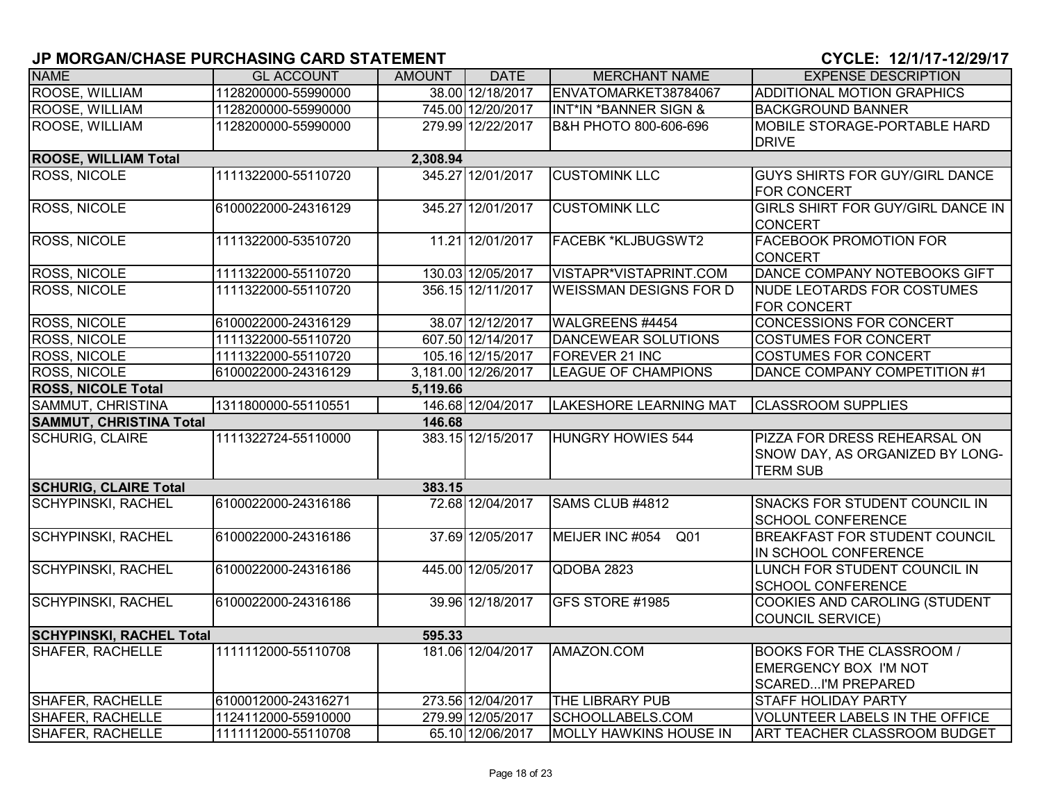| <b>NAME</b>                     | <b>GL ACCOUNT</b>   | <b>AMOUNT</b> | <b>DATE</b>         | <b>MERCHANT NAME</b>          | <b>EXPENSE DESCRIPTION</b>            |
|---------------------------------|---------------------|---------------|---------------------|-------------------------------|---------------------------------------|
| ROOSE, WILLIAM                  | 1128200000-55990000 |               | 38.00 12/18/2017    | ENVATOMARKET38784067          | <b>ADDITIONAL MOTION GRAPHICS</b>     |
| ROOSE, WILLIAM                  | 1128200000-55990000 |               | 745.00 12/20/2017   | INT*IN *BANNER SIGN &         | <b>BACKGROUND BANNER</b>              |
| ROOSE, WILLIAM                  | 1128200000-55990000 |               | 279.99 12/22/2017   | B&H PHOTO 800-606-696         | MOBILE STORAGE-PORTABLE HARD          |
|                                 |                     |               |                     |                               | <b>DRIVE</b>                          |
| <b>ROOSE, WILLIAM Total</b>     |                     | 2,308.94      |                     |                               |                                       |
| <b>ROSS, NICOLE</b>             | 1111322000-55110720 |               | 345.27 12/01/2017   | <b>CUSTOMINK LLC</b>          | GUYS SHIRTS FOR GUY/GIRL DANCE        |
|                                 |                     |               |                     |                               | <b>FOR CONCERT</b>                    |
| <b>ROSS, NICOLE</b>             | 6100022000-24316129 |               | 345.27 12/01/2017   | <b>CUSTOMINK LLC</b>          | GIRLS SHIRT FOR GUY/GIRL DANCE IN     |
|                                 |                     |               |                     |                               | <b>CONCERT</b>                        |
| ROSS, NICOLE                    | 1111322000-53510720 |               | 11.21 12/01/2017    | <b>FACEBK *KLJBUGSWT2</b>     | <b>FACEBOOK PROMOTION FOR</b>         |
|                                 |                     |               |                     |                               | <b>CONCERT</b>                        |
| <b>ROSS, NICOLE</b>             | 1111322000-55110720 |               | 130.03 12/05/2017   | VISTAPR*VISTAPRINT.COM        | DANCE COMPANY NOTEBOOKS GIFT          |
| <b>ROSS, NICOLE</b>             | 1111322000-55110720 |               | 356.15 12/11/2017   | <b>WEISSMAN DESIGNS FOR D</b> | NUDE LEOTARDS FOR COSTUMES            |
|                                 |                     |               |                     |                               | <b>FOR CONCERT</b>                    |
| <b>ROSS, NICOLE</b>             | 6100022000-24316129 |               | 38.07 12/12/2017    | WALGREENS #4454               | <b>CONCESSIONS FOR CONCERT</b>        |
| ROSS, NICOLE                    | 1111322000-55110720 |               | 607.50 12/14/2017   | <b>DANCEWEAR SOLUTIONS</b>    | <b>COSTUMES FOR CONCERT</b>           |
| ROSS, NICOLE                    | 1111322000-55110720 |               | 105.16 12/15/2017   | FOREVER 21 INC                | <b>COSTUMES FOR CONCERT</b>           |
| ROSS, NICOLE                    | 6100022000-24316129 |               | 3,181.00 12/26/2017 | <b>LEAGUE OF CHAMPIONS</b>    | DANCE COMPANY COMPETITION #1          |
| <b>ROSS, NICOLE Total</b>       |                     | 5,119.66      |                     |                               |                                       |
| SAMMUT, CHRISTINA               | 1311800000-55110551 |               | 146.68 12/04/2017   | <b>LAKESHORE LEARNING MAT</b> | <b>CLASSROOM SUPPLIES</b>             |
| <b>SAMMUT, CHRISTINA Total</b>  |                     | 146.68        |                     |                               |                                       |
| <b>SCHURIG, CLAIRE</b>          | 1111322724-55110000 |               | 383.15 12/15/2017   | <b>HUNGRY HOWIES 544</b>      | PIZZA FOR DRESS REHEARSAL ON          |
|                                 |                     |               |                     |                               | SNOW DAY, AS ORGANIZED BY LONG-       |
|                                 |                     |               |                     |                               | <b>TERM SUB</b>                       |
| <b>SCHURIG, CLAIRE Total</b>    |                     | 383.15        |                     |                               |                                       |
| <b>SCHYPINSKI, RACHEL</b>       | 6100022000-24316186 |               | 72.68 12/04/2017    | SAMS CLUB #4812               | <b>SNACKS FOR STUDENT COUNCIL IN</b>  |
|                                 |                     |               |                     |                               | <b>SCHOOL CONFERENCE</b>              |
| <b>SCHYPINSKI, RACHEL</b>       | 6100022000-24316186 |               | 37.69 12/05/2017    | MEIJER INC #054<br>Q01        | <b>BREAKFAST FOR STUDENT COUNCIL</b>  |
|                                 |                     |               |                     |                               | IN SCHOOL CONFERENCE                  |
| <b>SCHYPINSKI, RACHEL</b>       | 6100022000-24316186 |               | 445.00 12/05/2017   | QDOBA 2823                    | LUNCH FOR STUDENT COUNCIL IN          |
|                                 |                     |               |                     |                               | <b>SCHOOL CONFERENCE</b>              |
| <b>SCHYPINSKI, RACHEL</b>       | 6100022000-24316186 |               | 39.96 12/18/2017    | GFS STORE #1985               | COOKIES AND CAROLING (STUDENT         |
|                                 |                     |               |                     |                               | COUNCIL SERVICE)                      |
| <b>SCHYPINSKI, RACHEL Total</b> |                     | 595.33        |                     |                               |                                       |
| <b>SHAFER, RACHELLE</b>         | 1111112000-55110708 |               | 181.06 12/04/2017   | AMAZON.COM                    | <b>BOOKS FOR THE CLASSROOM /</b>      |
|                                 |                     |               |                     |                               | EMERGENCY BOX I'M NOT                 |
|                                 |                     |               |                     |                               | <b>SCAREDI'M PREPARED</b>             |
| <b>SHAFER, RACHELLE</b>         | 6100012000-24316271 |               | 273.56 12/04/2017   | THE LIBRARY PUB               | <b>STAFF HOLIDAY PARTY</b>            |
| <b>SHAFER, RACHELLE</b>         | 1124112000-55910000 |               | 279.99 12/05/2017   | SCHOOLLABELS.COM              | <b>VOLUNTEER LABELS IN THE OFFICE</b> |
| <b>SHAFER, RACHELLE</b>         | 1111112000-55110708 |               | 65.10 12/06/2017    | <b>MOLLY HAWKINS HOUSE IN</b> | ART TEACHER CLASSROOM BUDGET          |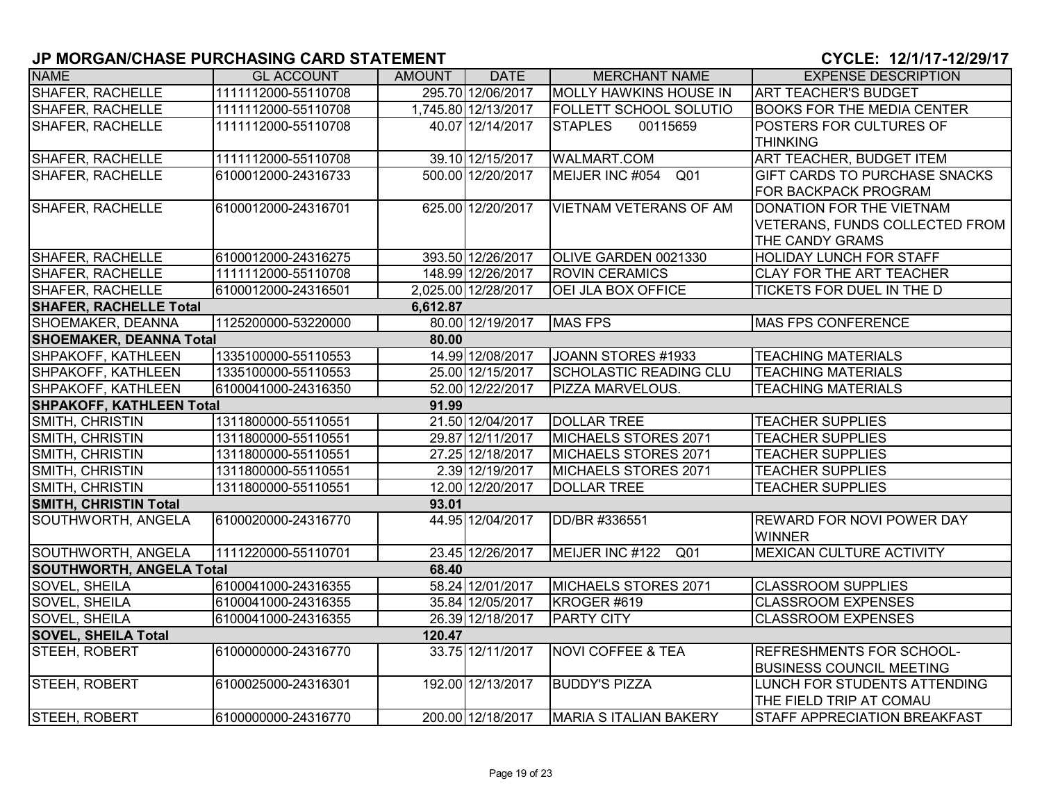| <b>NAME</b>                     | <b>GL ACCOUNT</b>   | AMOUNT   | <b>DATE</b>         | <b>MERCHANT NAME</b>          | <b>EXPENSE DESCRIPTION</b>          |
|---------------------------------|---------------------|----------|---------------------|-------------------------------|-------------------------------------|
| <b>SHAFER, RACHELLE</b>         | 1111112000-55110708 |          | 295.70 12/06/2017   | <b>MOLLY HAWKINS HOUSE IN</b> | <b>ART TEACHER'S BUDGET</b>         |
| <b>SHAFER, RACHELLE</b>         | 1111112000-55110708 |          | 1,745.80 12/13/2017 | <b>FOLLETT SCHOOL SOLUTIO</b> | <b>BOOKS FOR THE MEDIA CENTER</b>   |
| SHAFER, RACHELLE                | 1111112000-55110708 |          | 40.07 12/14/2017    | <b>STAPLES</b><br>00115659    | <b>POSTERS FOR CULTURES OF</b>      |
|                                 |                     |          |                     |                               | <b>THINKING</b>                     |
| <b>SHAFER, RACHELLE</b>         | 1111112000-55110708 |          | 39.10 12/15/2017    | <b>WALMART.COM</b>            | ART TEACHER, BUDGET ITEM            |
| <b>SHAFER, RACHELLE</b>         | 6100012000-24316733 |          | 500.00 12/20/2017   | MEIJER INC #054 Q01           | GIFT CARDS TO PURCHASE SNACKS       |
|                                 |                     |          |                     |                               | FOR BACKPACK PROGRAM                |
| <b>SHAFER, RACHELLE</b>         | 6100012000-24316701 |          | 625.00 12/20/2017   | <b>VIETNAM VETERANS OF AM</b> | DONATION FOR THE VIETNAM            |
|                                 |                     |          |                     |                               | VETERANS, FUNDS COLLECTED FROM      |
|                                 |                     |          |                     |                               | THE CANDY GRAMS                     |
| SHAFER, RACHELLE                | 6100012000-24316275 |          | 393.50 12/26/2017   | OLIVE GARDEN 0021330          | <b>HOLIDAY LUNCH FOR STAFF</b>      |
| <b>SHAFER, RACHELLE</b>         | 1111112000-55110708 |          | 148.99 12/26/2017   | <b>ROVIN CERAMICS</b>         | <b>CLAY FOR THE ART TEACHER</b>     |
| SHAFER, RACHELLE                | 6100012000-24316501 |          | 2,025.00 12/28/2017 | OEI JLA BOX OFFICE            | TICKETS FOR DUEL IN THE D           |
| <b>SHAFER, RACHELLE Total</b>   |                     | 6,612.87 |                     |                               |                                     |
| SHOEMAKER, DEANNA               | 1125200000-53220000 |          | 80.00 12/19/2017    | <b>MAS FPS</b>                | <b>MAS FPS CONFERENCE</b>           |
| <b>SHOEMAKER, DEANNA Total</b>  |                     | 80.00    |                     |                               |                                     |
| SHPAKOFF, KATHLEEN              | 1335100000-55110553 |          | 14.99 12/08/2017    | JOANN STORES #1933            | <b>TEACHING MATERIALS</b>           |
| SHPAKOFF, KATHLEEN              | 1335100000-55110553 |          | 25.00 12/15/2017    | <b>SCHOLASTIC READING CLU</b> | <b>TEACHING MATERIALS</b>           |
| SHPAKOFF, KATHLEEN              | 6100041000-24316350 |          | 52.00 12/22/2017    | PIZZA MARVELOUS.              | <b>TEACHING MATERIALS</b>           |
| <b>SHPAKOFF, KATHLEEN Total</b> |                     | 91.99    |                     |                               |                                     |
| SMITH, CHRISTIN                 | 1311800000-55110551 |          | 21.50 12/04/2017    | <b>DOLLAR TREE</b>            | <b>TEACHER SUPPLIES</b>             |
| SMITH, CHRISTIN                 | 1311800000-55110551 |          | 29.87 12/11/2017    | MICHAELS STORES 2071          | <b>TEACHER SUPPLIES</b>             |
| SMITH, CHRISTIN                 | 1311800000-55110551 |          | 27.25 12/18/2017    | MICHAELS STORES 2071          | <b>TEACHER SUPPLIES</b>             |
| SMITH, CHRISTIN                 | 1311800000-55110551 |          | 2.39 12/19/2017     | MICHAELS STORES 2071          | <b>TEACHER SUPPLIES</b>             |
| SMITH, CHRISTIN                 | 1311800000-55110551 |          | 12.00 12/20/2017    | <b>DOLLAR TREE</b>            | <b>TEACHER SUPPLIES</b>             |
| <b>SMITH, CHRISTIN Total</b>    |                     | 93.01    |                     |                               |                                     |
| SOUTHWORTH, ANGELA              | 6100020000-24316770 |          | 44.95 12/04/2017    | DD/BR #336551                 | <b>REWARD FOR NOVI POWER DAY</b>    |
|                                 |                     |          |                     |                               | <b>WINNER</b>                       |
| SOUTHWORTH, ANGELA              | 1111220000-55110701 |          | 23.45 12/26/2017    | MEIJER INC #122 Q01           | <b>MEXICAN CULTURE ACTIVITY</b>     |
| <b>SOUTHWORTH, ANGELA Total</b> |                     | 68.40    |                     |                               |                                     |
| SOVEL, SHEILA                   | 6100041000-24316355 |          | 58.24 12/01/2017    | MICHAELS STORES 2071          | <b>CLASSROOM SUPPLIES</b>           |
| SOVEL, SHEILA                   | 6100041000-24316355 |          | 35.84 12/05/2017    | KROGER #619                   | <b>CLASSROOM EXPENSES</b>           |
| <b>SOVEL, SHEILA</b>            | 6100041000-24316355 |          | 26.39 12/18/2017    | PARTY CITY                    | <b>CLASSROOM EXPENSES</b>           |
| <b>SOVEL, SHEILA Total</b>      |                     | 120.47   |                     |                               |                                     |
| STEEH, ROBERT                   | 6100000000-24316770 |          | 33.75 12/11/2017    | <b>NOVI COFFEE &amp; TEA</b>  | <b>REFRESHMENTS FOR SCHOOL-</b>     |
|                                 |                     |          |                     |                               | <b>BUSINESS COUNCIL MEETING</b>     |
| STEEH, ROBERT                   | 6100025000-24316301 |          | 192.00 12/13/2017   | <b>BUDDY'S PIZZA</b>          | LUNCH FOR STUDENTS ATTENDING        |
|                                 |                     |          |                     |                               | THE FIELD TRIP AT COMAU             |
| STEEH, ROBERT                   | 6100000000-24316770 |          | 200.00 12/18/2017   | MARIA S ITALIAN BAKERY        | <b>STAFF APPRECIATION BREAKFAST</b> |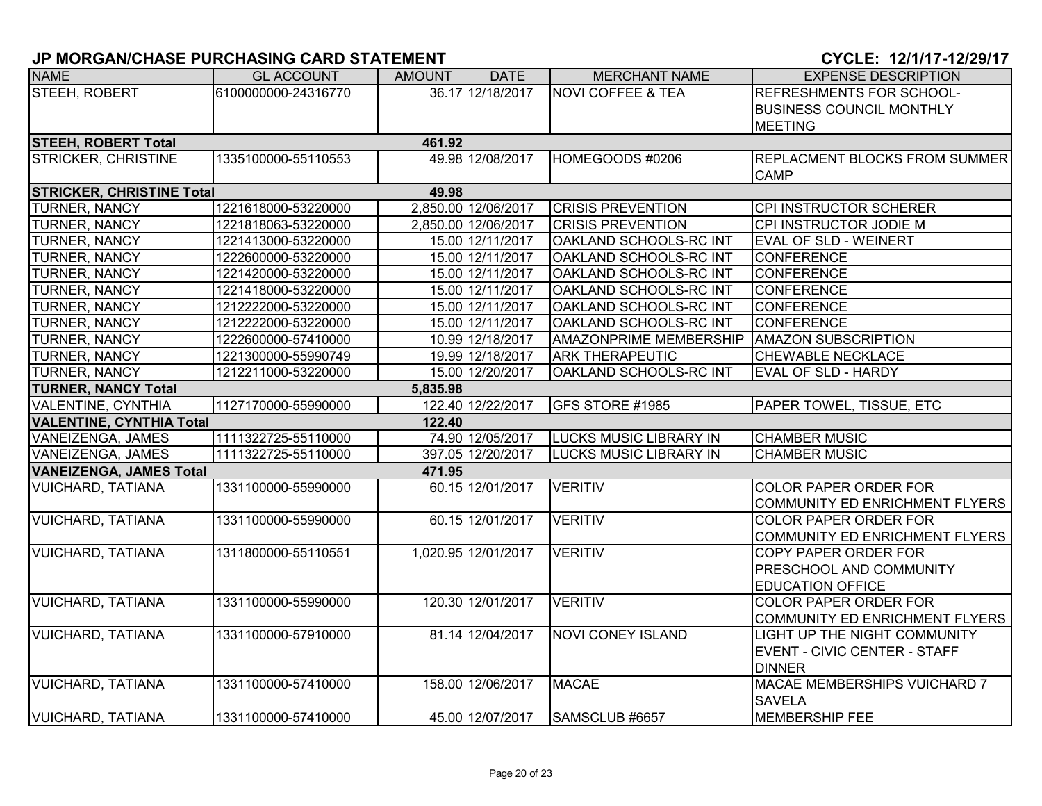| <b>NAME</b>                      | <b>GL ACCOUNT</b>   | <b>AMOUNT</b> | <b>DATE</b>         | <b>MERCHANT NAME</b>          | <b>EXPENSE DESCRIPTION</b>           |
|----------------------------------|---------------------|---------------|---------------------|-------------------------------|--------------------------------------|
| STEEH, ROBERT                    | 6100000000-24316770 |               | 36.17 12/18/2017    | <b>NOVI COFFEE &amp; TEA</b>  | <b>REFRESHMENTS FOR SCHOOL-</b>      |
|                                  |                     |               |                     |                               | <b>BUSINESS COUNCIL MONTHLY</b>      |
|                                  |                     |               |                     |                               | <b>MEETING</b>                       |
| <b>STEEH, ROBERT Total</b>       |                     | 461.92        |                     |                               |                                      |
| <b>STRICKER, CHRISTINE</b>       | 1335100000-55110553 |               | 49.98 12/08/2017    | HOMEGOODS #0206               | <b>REPLACMENT BLOCKS FROM SUMMER</b> |
|                                  |                     |               |                     |                               | <b>CAMP</b>                          |
| <b>STRICKER, CHRISTINE Total</b> |                     | 49.98         |                     |                               |                                      |
| <b>TURNER, NANCY</b>             | 1221618000-53220000 |               | 2,850.00 12/06/2017 | <b>CRISIS PREVENTION</b>      | CPI INSTRUCTOR SCHERER               |
| TURNER, NANCY                    | 1221818063-53220000 |               | 2,850.00 12/06/2017 | <b>CRISIS PREVENTION</b>      | CPI INSTRUCTOR JODIE M               |
| TURNER, NANCY                    | 1221413000-53220000 |               | 15.00 12/11/2017    | OAKLAND SCHOOLS-RC INT        | <b>EVAL OF SLD - WEINERT</b>         |
| TURNER, NANCY                    | 1222600000-53220000 |               | 15.00 12/11/2017    | OAKLAND SCHOOLS-RC INT        | <b>CONFERENCE</b>                    |
| <b>TURNER, NANCY</b>             | 1221420000-53220000 |               | 15.00 12/11/2017    | OAKLAND SCHOOLS-RC INT        | <b>CONFERENCE</b>                    |
| TURNER, NANCY                    | 1221418000-53220000 |               | 15.00 12/11/2017    | OAKLAND SCHOOLS-RC INT        | <b>CONFERENCE</b>                    |
| TURNER, NANCY                    | 1212222000-53220000 |               | 15.00 12/11/2017    | OAKLAND SCHOOLS-RC INT        | <b>CONFERENCE</b>                    |
| TURNER, NANCY                    | 1212222000-53220000 |               | 15.00 12/11/2017    | OAKLAND SCHOOLS-RC INT        | <b>CONFERENCE</b>                    |
| TURNER, NANCY                    | 1222600000-57410000 |               | 10.99 12/18/2017    | <b>AMAZONPRIME MEMBERSHIP</b> | <b>AMAZON SUBSCRIPTION</b>           |
| TURNER, NANCY                    | 1221300000-55990749 |               | 19.99 12/18/2017    | <b>ARK THERAPEUTIC</b>        | <b>CHEWABLE NECKLACE</b>             |
| <b>TURNER, NANCY</b>             | 1212211000-53220000 |               | 15.00 12/20/2017    | OAKLAND SCHOOLS-RC INT        | <b>EVAL OF SLD - HARDY</b>           |
| <b>TURNER, NANCY Total</b>       |                     | 5,835.98      |                     |                               |                                      |
| <b>VALENTINE, CYNTHIA</b>        | 1127170000-55990000 |               | 122.40 12/22/2017   | GFS STORE #1985               | <b>PAPER TOWEL, TISSUE, ETC</b>      |
| <b>VALENTINE, CYNTHIA Total</b>  |                     | 122.40        |                     |                               |                                      |
| VANEIZENGA, JAMES                | 1111322725-55110000 |               | 74.90 12/05/2017    | <b>LUCKS MUSIC LIBRARY IN</b> | <b>CHAMBER MUSIC</b>                 |
| VANEIZENGA, JAMES                | 1111322725-55110000 |               | 397.05 12/20/2017   | <b>LUCKS MUSIC LIBRARY IN</b> | <b>CHAMBER MUSIC</b>                 |
| <b>VANEIZENGA, JAMES Total</b>   |                     | 471.95        |                     |                               |                                      |
| <b>VUICHARD, TATIANA</b>         | 1331100000-55990000 |               | 60.15 12/01/2017    | <b>VERITIV</b>                | <b>COLOR PAPER ORDER FOR</b>         |
|                                  |                     |               |                     |                               | COMMUNITY ED ENRICHMENT FLYERS       |
| <b>VUICHARD, TATIANA</b>         | 1331100000-55990000 |               | 60.15 12/01/2017    | <b>VERITIV</b>                | <b>COLOR PAPER ORDER FOR</b>         |
|                                  |                     |               |                     |                               | COMMUNITY ED ENRICHMENT FLYERS       |
| <b>VUICHARD, TATIANA</b>         | 1311800000-55110551 |               | 1,020.95 12/01/2017 | <b>VERITIV</b>                | <b>COPY PAPER ORDER FOR</b>          |
|                                  |                     |               |                     |                               | <b>PRESCHOOL AND COMMUNITY</b>       |
|                                  |                     |               |                     |                               | <b>EDUCATION OFFICE</b>              |
| <b>VUICHARD, TATIANA</b>         | 1331100000-55990000 |               | 120.30 12/01/2017   | <b>VERITIV</b>                | <b>COLOR PAPER ORDER FOR</b>         |
|                                  |                     |               |                     |                               | COMMUNITY ED ENRICHMENT FLYERS       |
| <b>VUICHARD, TATIANA</b>         | 1331100000-57910000 |               | 81.14 12/04/2017    | <b>NOVI CONEY ISLAND</b>      | <b>LIGHT UP THE NIGHT COMMUNITY</b>  |
|                                  |                     |               |                     |                               | EVENT - CIVIC CENTER - STAFF         |
|                                  |                     |               |                     |                               | <b>DINNER</b>                        |
| <b>VUICHARD, TATIANA</b>         | 1331100000-57410000 |               | 158.00 12/06/2017   | <b>MACAE</b>                  | <b>MACAE MEMBERSHIPS VUICHARD 7</b>  |
|                                  |                     |               |                     |                               | <b>SAVELA</b>                        |
| <b>VUICHARD, TATIANA</b>         | 1331100000-57410000 |               | 45.00 12/07/2017    | SAMSCLUB #6657                | <b>MEMBERSHIP FEE</b>                |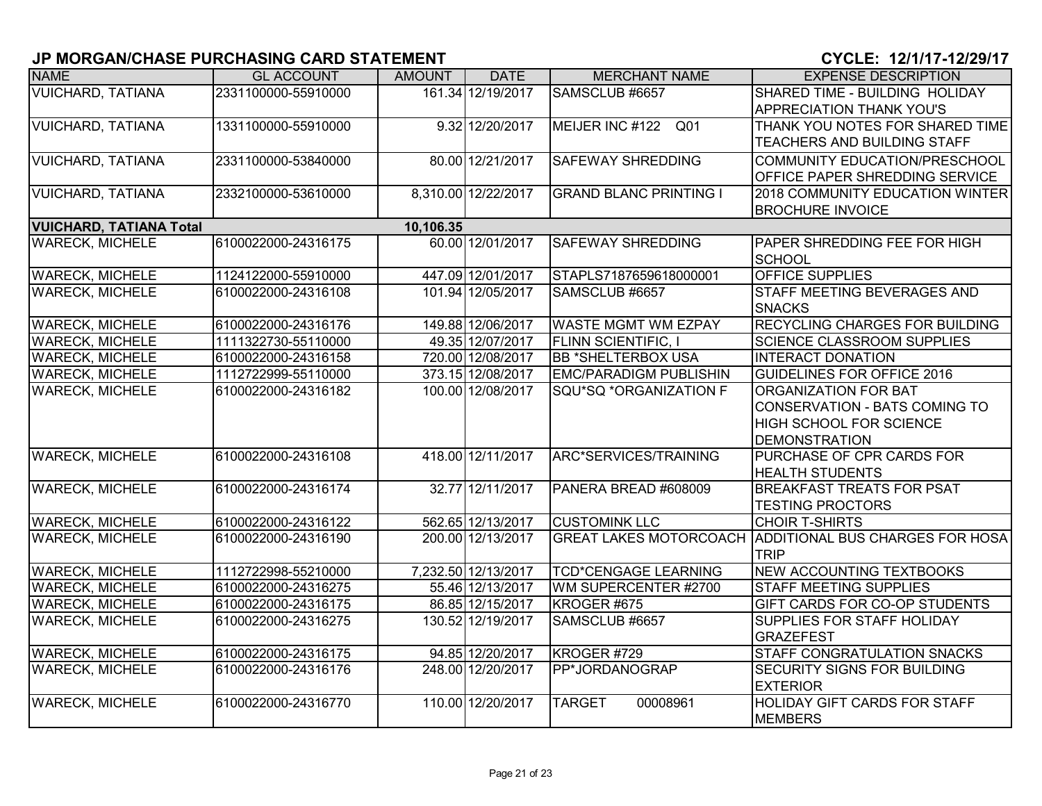| <b>NAME</b>                    | <b>GL ACCOUNT</b>   | <b>AMOUNT</b> | <b>DATE</b>         | <b>MERCHANT NAME</b>          | <b>EXPENSE DESCRIPTION</b>             |
|--------------------------------|---------------------|---------------|---------------------|-------------------------------|----------------------------------------|
| <b>VUICHARD, TATIANA</b>       | 2331100000-55910000 |               | 161.34 12/19/2017   | SAMSCLUB #6657                | SHARED TIME - BUILDING HOLIDAY         |
|                                |                     |               |                     |                               | <b>APPRECIATION THANK YOU'S</b>        |
| <b>VUICHARD, TATIANA</b>       | 1331100000-55910000 |               | 9.32 12/20/2017     | MEIJER INC #122 Q01           | THANK YOU NOTES FOR SHARED TIME        |
|                                |                     |               |                     |                               | TEACHERS AND BUILDING STAFF            |
| <b>VUICHARD, TATIANA</b>       | 2331100000-53840000 |               | 80.00 12/21/2017    | <b>SAFEWAY SHREDDING</b>      | COMMUNITY EDUCATION/PRESCHOOL          |
|                                |                     |               |                     |                               | OFFICE PAPER SHREDDING SERVICE         |
| <b>VUICHARD, TATIANA</b>       | 2332100000-53610000 |               | 8,310.00 12/22/2017 | <b>GRAND BLANC PRINTING I</b> | 2018 COMMUNITY EDUCATION WINTER        |
|                                |                     |               |                     |                               | <b>BROCHURE INVOICE</b>                |
| <b>VUICHARD, TATIANA Total</b> |                     | 10,106.35     |                     |                               |                                        |
| <b>WARECK, MICHELE</b>         | 6100022000-24316175 |               | 60.00 12/01/2017    | <b>SAFEWAY SHREDDING</b>      | PAPER SHREDDING FEE FOR HIGH           |
|                                |                     |               |                     |                               | <b>SCHOOL</b>                          |
| <b>WARECK, MICHELE</b>         | 1124122000-55910000 |               | 447.09 12/01/2017   | STAPLS7187659618000001        | <b>OFFICE SUPPLIES</b>                 |
| <b>WARECK, MICHELE</b>         | 6100022000-24316108 |               | 101.94 12/05/2017   | SAMSCLUB #6657                | STAFF MEETING BEVERAGES AND            |
|                                |                     |               |                     |                               | <b>SNACKS</b>                          |
| <b>WARECK, MICHELE</b>         | 6100022000-24316176 |               | 149.88 12/06/2017   | WASTE MGMT WM EZPAY           | RECYCLING CHARGES FOR BUILDING         |
| <b>WARECK, MICHELE</b>         | 1111322730-55110000 |               | 49.35 12/07/2017    | <b>FLINN SCIENTIFIC, I</b>    | <b>SCIENCE CLASSROOM SUPPLIES</b>      |
| <b>WARECK, MICHELE</b>         | 6100022000-24316158 |               | 720.00 12/08/2017   | <b>BB *SHELTERBOX USA</b>     | <b>INTERACT DONATION</b>               |
| <b>WARECK, MICHELE</b>         | 1112722999-55110000 |               | 373.15 12/08/2017   | <b>EMC/PARADIGM PUBLISHIN</b> | <b>GUIDELINES FOR OFFICE 2016</b>      |
| <b>WARECK, MICHELE</b>         | 6100022000-24316182 |               | 100.00 12/08/2017   | <b>SQU*SQ *ORGANIZATION F</b> | <b>ORGANIZATION FOR BAT</b>            |
|                                |                     |               |                     |                               | CONSERVATION - BATS COMING TO          |
|                                |                     |               |                     |                               | <b>HIGH SCHOOL FOR SCIENCE</b>         |
|                                |                     |               |                     |                               | <b>DEMONSTRATION</b>                   |
| <b>WARECK, MICHELE</b>         | 6100022000-24316108 |               | 418.00 12/11/2017   | ARC*SERVICES/TRAINING         | PURCHASE OF CPR CARDS FOR              |
|                                |                     |               |                     |                               | <b>HEALTH STUDENTS</b>                 |
| <b>WARECK, MICHELE</b>         | 6100022000-24316174 |               | 32.77 12/11/2017    | PANERA BREAD #608009          | <b>BREAKFAST TREATS FOR PSAT</b>       |
|                                |                     |               |                     |                               | <b>TESTING PROCTORS</b>                |
| <b>WARECK, MICHELE</b>         | 6100022000-24316122 |               | 562.65 12/13/2017   | <b>CUSTOMINK LLC</b>          | <b>CHOIR T-SHIRTS</b>                  |
| <b>WARECK, MICHELE</b>         | 6100022000-24316190 |               | 200.00 12/13/2017   | <b>GREAT LAKES MOTORCOACH</b> | <b>ADDITIONAL BUS CHARGES FOR HOSA</b> |
|                                |                     |               |                     |                               | <b>TRIP</b>                            |
| <b>WARECK, MICHELE</b>         | 1112722998-55210000 |               | 7,232.50 12/13/2017 | <b>TCD*CENGAGE LEARNING</b>   | <b>NEW ACCOUNTING TEXTBOOKS</b>        |
| <b>WARECK, MICHELE</b>         | 6100022000-24316275 |               | 55.46 12/13/2017    | WM SUPERCENTER #2700          | <b>STAFF MEETING SUPPLIES</b>          |
| <b>WARECK, MICHELE</b>         | 6100022000-24316175 |               | 86.85 12/15/2017    | KROGER #675                   | GIFT CARDS FOR CO-OP STUDENTS          |
| <b>WARECK, MICHELE</b>         | 6100022000-24316275 |               | 130.52 12/19/2017   | SAMSCLUB #6657                | SUPPLIES FOR STAFF HOLIDAY             |
|                                |                     |               |                     |                               | <b>GRAZEFEST</b>                       |
| <b>WARECK, MICHELE</b>         | 6100022000-24316175 |               | 94.85 12/20/2017    | KROGER #729                   | STAFF CONGRATULATION SNACKS            |
| <b>WARECK, MICHELE</b>         | 6100022000-24316176 |               | 248.00 12/20/2017   | PP*JORDANOGRAP                | <b>SECURITY SIGNS FOR BUILDING</b>     |
|                                |                     |               |                     |                               | <b>EXTERIOR</b>                        |
| <b>WARECK, MICHELE</b>         | 6100022000-24316770 |               | 110.00 12/20/2017   | <b>TARGET</b><br>00008961     | HOLIDAY GIFT CARDS FOR STAFF           |
|                                |                     |               |                     |                               | <b>MEMBERS</b>                         |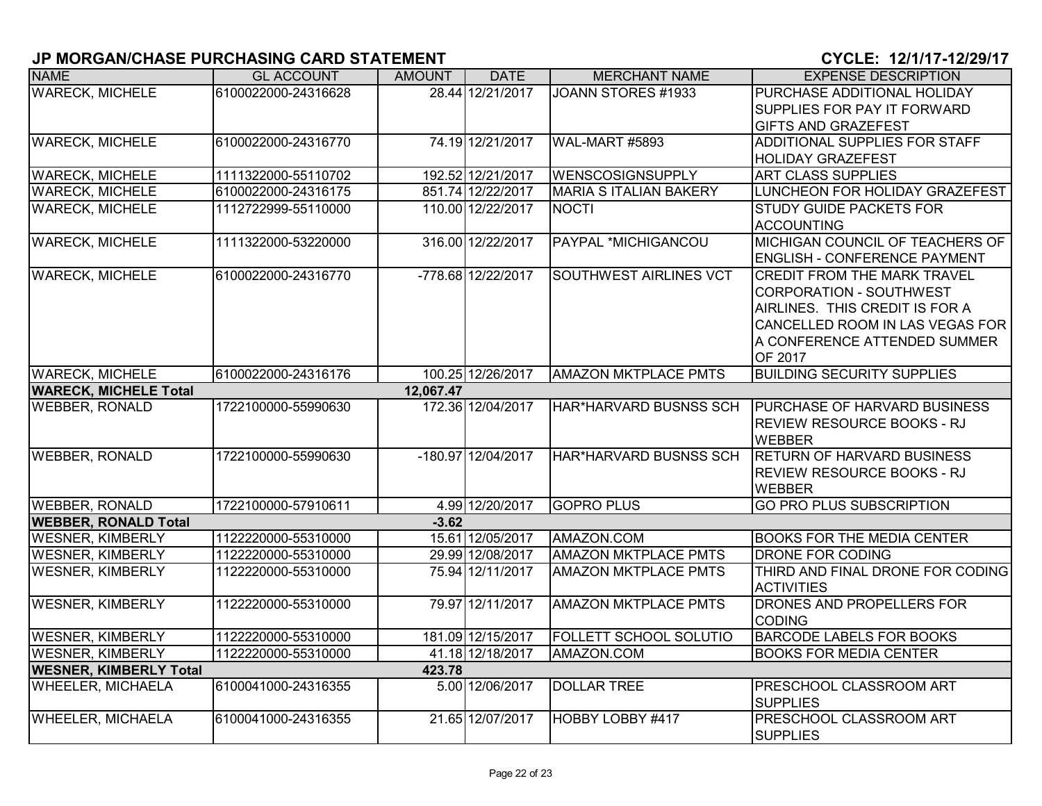| <b>NAME</b>                   | <b>GL ACCOUNT</b>                          | <b>AMOUNT</b> | <b>DATE</b>                          | <b>MERCHANT NAME</b>                                       | <b>EXPENSE DESCRIPTION</b>                           |
|-------------------------------|--------------------------------------------|---------------|--------------------------------------|------------------------------------------------------------|------------------------------------------------------|
| <b>WARECK, MICHELE</b>        | 6100022000-24316628                        |               | 28.44 12/21/2017                     | JOANN STORES #1933                                         | PURCHASE ADDITIONAL HOLIDAY                          |
|                               |                                            |               |                                      |                                                            | SUPPLIES FOR PAY IT FORWARD                          |
|                               |                                            |               |                                      |                                                            | <b>GIFTS AND GRAZEFEST</b>                           |
| <b>WARECK, MICHELE</b>        | 6100022000-24316770                        |               | 74.19 12/21/2017                     | WAL-MART #5893                                             | ADDITIONAL SUPPLIES FOR STAFF                        |
|                               |                                            |               |                                      |                                                            | <b>HOLIDAY GRAZEFEST</b>                             |
| <b>WARECK, MICHELE</b>        | 1111322000-55110702                        |               | 192.52 12/21/2017                    | <b>WENSCOSIGNSUPPLY</b>                                    | <b>ART CLASS SUPPLIES</b>                            |
| <b>WARECK, MICHELE</b>        | 6100022000-24316175                        |               | 851.74 12/22/2017                    | <b>MARIA S ITALIAN BAKERY</b>                              | LUNCHEON FOR HOLIDAY GRAZEFEST                       |
| <b>WARECK, MICHELE</b>        | 1112722999-55110000                        |               | 110.00 12/22/2017                    | <b>NOCTI</b>                                               | <b>STUDY GUIDE PACKETS FOR</b>                       |
|                               |                                            |               |                                      |                                                            | <b>ACCOUNTING</b>                                    |
| <b>WARECK, MICHELE</b>        | 1111322000-53220000                        |               | 316.00 12/22/2017                    | PAYPAL *MICHIGANCOU                                        | MICHIGAN COUNCIL OF TEACHERS OF                      |
|                               |                                            |               |                                      |                                                            | <b>ENGLISH - CONFERENCE PAYMENT</b>                  |
| <b>WARECK, MICHELE</b>        | 6100022000-24316770                        |               | -778.68 12/22/2017                   | <b>SOUTHWEST AIRLINES VCT</b>                              | <b>CREDIT FROM THE MARK TRAVEL</b>                   |
|                               |                                            |               |                                      |                                                            | CORPORATION - SOUTHWEST                              |
|                               |                                            |               |                                      |                                                            | AIRLINES. THIS CREDIT IS FOR A                       |
|                               |                                            |               |                                      |                                                            | CANCELLED ROOM IN LAS VEGAS FOR                      |
|                               |                                            |               |                                      |                                                            | A CONFERENCE ATTENDED SUMMER                         |
|                               |                                            |               |                                      |                                                            | OF 2017                                              |
| <b>WARECK, MICHELE</b>        | 6100022000-24316176                        |               | 100.25 12/26/2017                    | <b>AMAZON MKTPLACE PMTS</b>                                | <b>BUILDING SECURITY SUPPLIES</b>                    |
| <b>WARECK, MICHELE Total</b>  |                                            | 12,067.47     |                                      |                                                            |                                                      |
| <b>WEBBER, RONALD</b>         | 1722100000-55990630                        |               | 172.36 12/04/2017                    | HAR*HARVARD BUSNSS SCH                                     | <b>PURCHASE OF HARVARD BUSINESS</b>                  |
|                               |                                            |               |                                      |                                                            | <b>REVIEW RESOURCE BOOKS - RJ</b>                    |
|                               |                                            |               |                                      |                                                            | <b>WEBBER</b>                                        |
| <b>WEBBER, RONALD</b>         | 1722100000-55990630                        |               | -180.97 12/04/2017                   | HAR*HARVARD BUSNSS SCH                                     | <b>RETURN OF HARVARD BUSINESS</b>                    |
|                               |                                            |               |                                      |                                                            | <b>REVIEW RESOURCE BOOKS - RJ</b>                    |
|                               |                                            |               |                                      |                                                            | <b>WEBBER</b>                                        |
| <b>WEBBER, RONALD</b>         | 1722100000-57910611                        |               | 4.99 12/20/2017                      | <b>GOPRO PLUS</b>                                          | <b>GO PRO PLUS SUBSCRIPTION</b>                      |
| <b>WEBBER, RONALD Total</b>   |                                            | $-3.62$       |                                      |                                                            |                                                      |
| <b>WESNER, KIMBERLY</b>       | 1122220000-55310000                        |               | 15.61 12/05/2017                     | AMAZON.COM                                                 | <b>BOOKS FOR THE MEDIA CENTER</b>                    |
| <b>WESNER, KIMBERLY</b>       | 1122220000-55310000<br>1122220000-55310000 |               | 29.99 12/08/2017<br>75.94 12/11/2017 | <b>AMAZON MKTPLACE PMTS</b><br><b>AMAZON MKTPLACE PMTS</b> | DRONE FOR CODING<br>THIRD AND FINAL DRONE FOR CODING |
| <b>WESNER, KIMBERLY</b>       |                                            |               |                                      |                                                            |                                                      |
| <b>WESNER, KIMBERLY</b>       | 1122220000-55310000                        |               | 79.97 12/11/2017                     | <b>AMAZON MKTPLACE PMTS</b>                                | <b>ACTIVITIES</b><br>DRONES AND PROPELLERS FOR       |
|                               |                                            |               |                                      |                                                            | <b>CODING</b>                                        |
| <b>WESNER, KIMBERLY</b>       | 1122220000-55310000                        |               | 181.09 12/15/2017                    | <b>FOLLETT SCHOOL SOLUTIO</b>                              | <b>BARCODE LABELS FOR BOOKS</b>                      |
| <b>WESNER, KIMBERLY</b>       | 1122220000-55310000                        |               | 41.18 12/18/2017                     | AMAZON.COM                                                 | <b>BOOKS FOR MEDIA CENTER</b>                        |
| <b>WESNER, KIMBERLY Total</b> |                                            | 423.78        |                                      |                                                            |                                                      |
| <b>WHEELER, MICHAELA</b>      | 6100041000-24316355                        |               | 5.00 12/06/2017                      | <b>DOLLAR TREE</b>                                         | PRESCHOOL CLASSROOM ART                              |
|                               |                                            |               |                                      |                                                            | <b>SUPPLIES</b>                                      |
| <b>WHEELER, MICHAELA</b>      | 6100041000-24316355                        |               | 21.65 12/07/2017                     | HOBBY LOBBY #417                                           | PRESCHOOL CLASSROOM ART                              |
|                               |                                            |               |                                      |                                                            | <b>SUPPLIES</b>                                      |